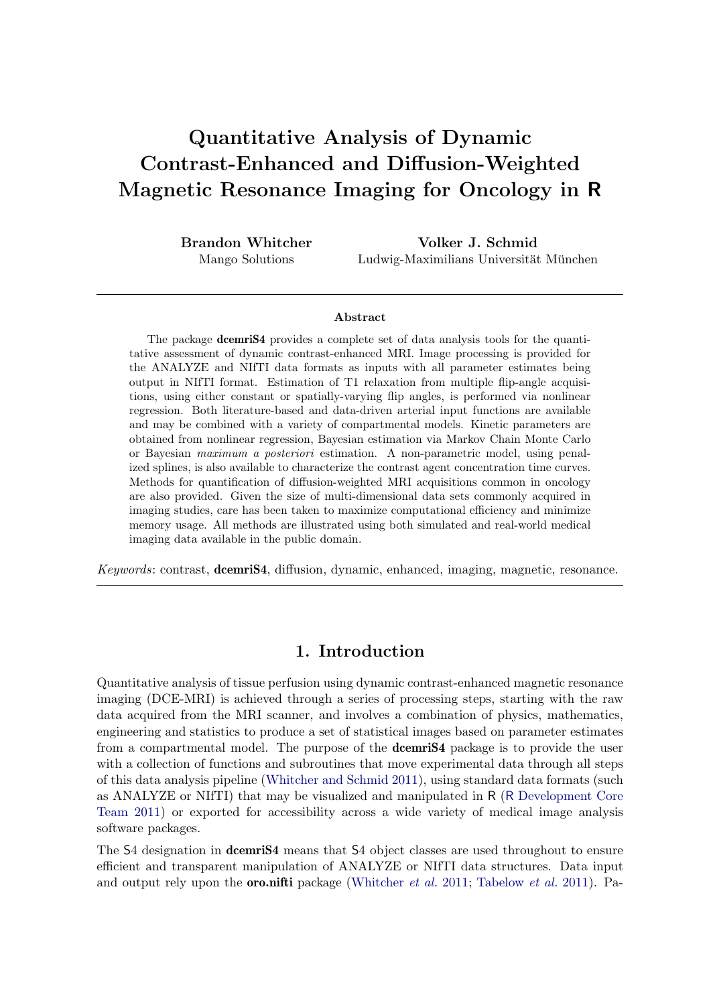# Quantitative Analysis of Dynamic Contrast-Enhanced and Diffusion-Weighted Magnetic Resonance Imaging for Oncology in R

Brandon Whitcher Mango Solutions

Volker J. Schmid Ludwig-Maximilians Universität München

#### Abstract

The package **dcemriS4** provides a complete set of data analysis tools for the quantitative assessment of dynamic contrast-enhanced MRI. Image processing is provided for the ANALYZE and NIfTI data formats as inputs with all parameter estimates being output in NIfTI format. Estimation of T1 relaxation from multiple flip-angle acquisitions, using either constant or spatially-varying flip angles, is performed via nonlinear regression. Both literature-based and data-driven arterial input functions are available and may be combined with a variety of compartmental models. Kinetic parameters are obtained from nonlinear regression, Bayesian estimation via Markov Chain Monte Carlo or Bayesian maximum a posteriori estimation. A non-parametric model, using penalized splines, is also available to characterize the contrast agent concentration time curves. Methods for quantification of diffusion-weighted MRI acquisitions common in oncology are also provided. Given the size of multi-dimensional data sets commonly acquired in imaging studies, care has been taken to maximize computational efficiency and minimize memory usage. All methods are illustrated using both simulated and real-world medical imaging data available in the public domain.

Keywords: contrast, dcemriS4, diffusion, dynamic, enhanced, imaging, magnetic, resonance.

# 1. Introduction

Quantitative analysis of tissue perfusion using dynamic contrast-enhanced magnetic resonance imaging (DCE-MRI) is achieved through a series of processing steps, starting with the raw data acquired from the MRI scanner, and involves a combination of physics, mathematics, engineering and statistics to produce a set of statistical images based on parameter estimates from a compartmental model. The purpose of the **dcemriS4** package is to provide the user with a collection of functions and subroutines that move experimental data through all steps of this data analysis pipeline (Whitcher and Schmid 2011), using standard data formats (such as ANALYZE or NIfTI) that may be visualized and manipulated in R (R Development Core Team 2011) or exported for accessibility across a wide variety of medical image analysis software packages.

The S4 designation in **dcemriS4** means that S4 object classes are used throughout to ensure efficient and transparent manipulation of ANALYZE or NIfTI data structures. Data input and output rely upon the **oro.nifti** package (Whitcher *et al.* 2011; Tabelow *et al.* 2011). Pa-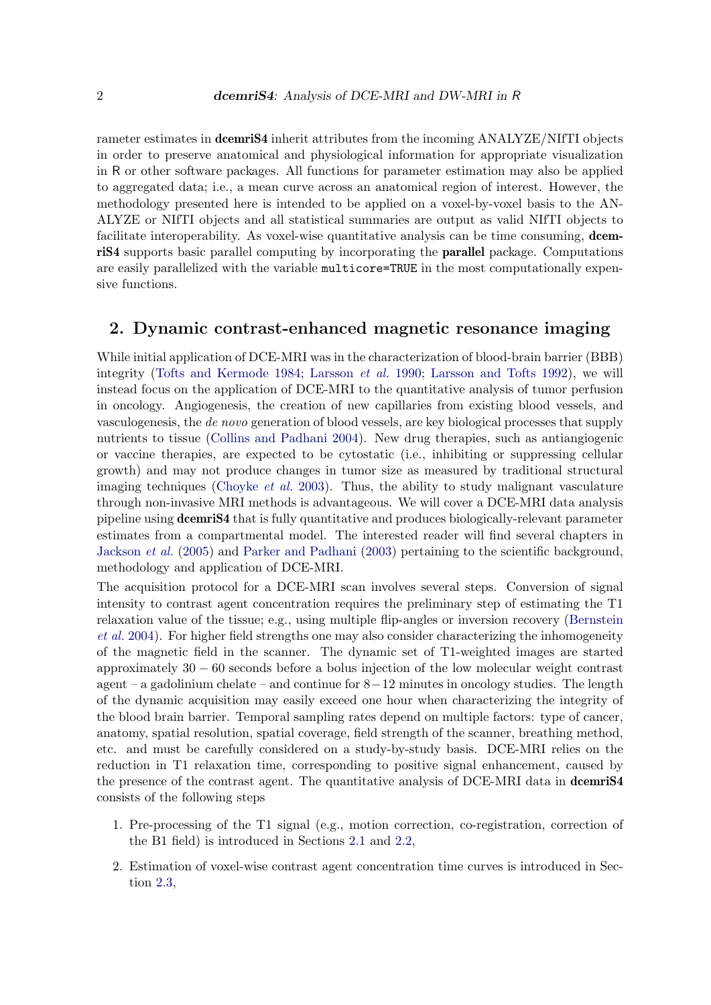rameter estimates in **dcemriS4** inherit attributes from the incoming ANALYZE/NIfTI objects in order to preserve anatomical and physiological information for appropriate visualization in R or other software packages. All functions for parameter estimation may also be applied to aggregated data; i.e., a mean curve across an anatomical region of interest. However, the methodology presented here is intended to be applied on a voxel-by-voxel basis to the AN-ALYZE or NIfTI objects and all statistical summaries are output as valid NIfTI objects to facilitate interoperability. As voxel-wise quantitative analysis can be time consuming, dcemriS4 supports basic parallel computing by incorporating the parallel package. Computations are easily parallelized with the variable multicore=TRUE in the most computationally expensive functions.

## 2. Dynamic contrast-enhanced magnetic resonance imaging

While initial application of DCE-MRI was in the characterization of blood-brain barrier (BBB) integrity (Tofts and Kermode 1984; Larsson *et al.* 1990; Larsson and Tofts 1992), we will instead focus on the application of DCE-MRI to the quantitative analysis of tumor perfusion in oncology. Angiogenesis, the creation of new capillaries from existing blood vessels, and vasculogenesis, the de novo generation of blood vessels, are key biological processes that supply nutrients to tissue (Collins and Padhani 2004). New drug therapies, such as antiangiogenic or vaccine therapies, are expected to be cytostatic (i.e., inhibiting or suppressing cellular growth) and may not produce changes in tumor size as measured by traditional structural imaging techniques (Choyke *et al.* 2003). Thus, the ability to study malignant vasculature through non-invasive MRI methods is advantageous. We will cover a DCE-MRI data analysis pipeline using dcemriS4 that is fully quantitative and produces biologically-relevant parameter estimates from a compartmental model. The interested reader will find several chapters in Jackson et al. (2005) and Parker and Padhani (2003) pertaining to the scientific background, methodology and application of DCE-MRI.

The acquisition protocol for a DCE-MRI scan involves several steps. Conversion of signal intensity to contrast agent concentration requires the preliminary step of estimating the T1 relaxation value of the tissue; e.g., using multiple flip-angles or inversion recovery (Bernstein et al. 2004). For higher field strengths one may also consider characterizing the inhomogeneity of the magnetic field in the scanner. The dynamic set of T1-weighted images are started approximately 30 − 60 seconds before a bolus injection of the low molecular weight contrast agent – a gadolinium chelate – and continue for 8−12 minutes in oncology studies. The length of the dynamic acquisition may easily exceed one hour when characterizing the integrity of the blood brain barrier. Temporal sampling rates depend on multiple factors: type of cancer, anatomy, spatial resolution, spatial coverage, field strength of the scanner, breathing method, etc. and must be carefully considered on a study-by-study basis. DCE-MRI relies on the reduction in T1 relaxation time, corresponding to positive signal enhancement, caused by the presence of the contrast agent. The quantitative analysis of DCE-MRI data in dcemriS4 consists of the following steps

- 1. Pre-processing of the T1 signal (e.g., motion correction, co-registration, correction of the B1 field) is introduced in Sections 2.1 and 2.2,
- 2. Estimation of voxel-wise contrast agent concentration time curves is introduced in Section 2.3,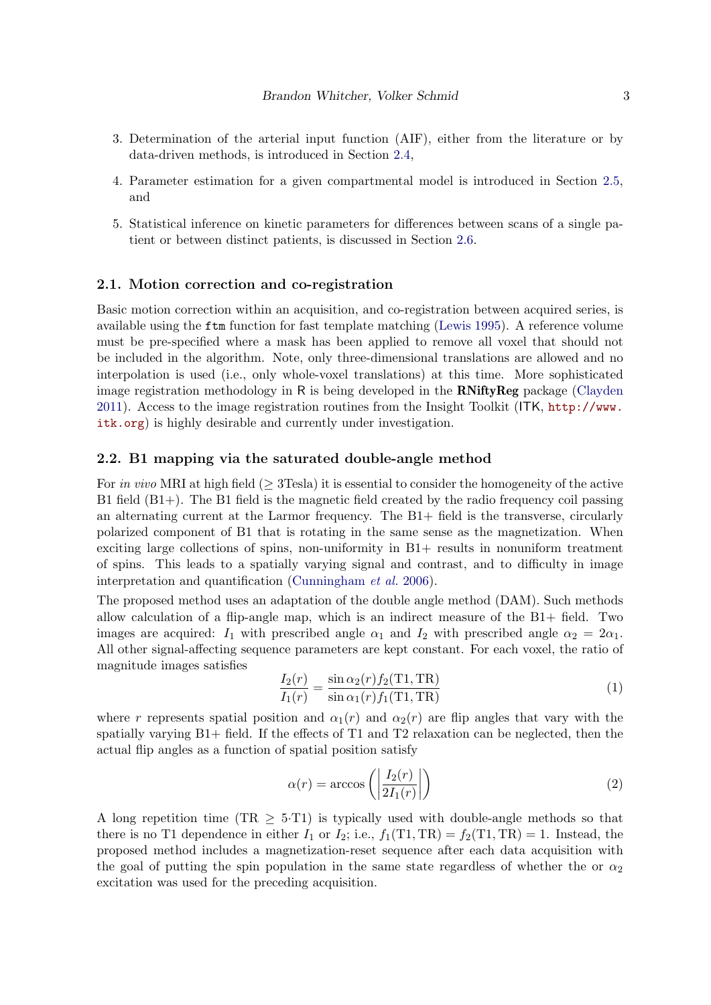- 3. Determination of the arterial input function (AIF), either from the literature or by data-driven methods, is introduced in Section 2.4,
- 4. Parameter estimation for a given compartmental model is introduced in Section 2.5, and
- 5. Statistical inference on kinetic parameters for differences between scans of a single patient or between distinct patients, is discussed in Section 2.6.

### 2.1. Motion correction and co-registration

Basic motion correction within an acquisition, and co-registration between acquired series, is available using the ftm function for fast template matching (Lewis 1995). A reference volume must be pre-specified where a mask has been applied to remove all voxel that should not be included in the algorithm. Note, only three-dimensional translations are allowed and no interpolation is used (i.e., only whole-voxel translations) at this time. More sophisticated image registration methodology in R is being developed in the  $\mathbf{RNiftyReg}$  package (Clayden 2011). Access to the image registration routines from the Insight Toolkit (ITK, http://www. itk.org) is highly desirable and currently under investigation.

### 2.2. B1 mapping via the saturated double-angle method

For in vivo MRI at high field ( $\geq$  3Tesla) it is essential to consider the homogeneity of the active B1 field (B1+). The B1 field is the magnetic field created by the radio frequency coil passing an alternating current at the Larmor frequency. The B1+ field is the transverse, circularly polarized component of B1 that is rotating in the same sense as the magnetization. When exciting large collections of spins, non-uniformity in B1+ results in nonuniform treatment of spins. This leads to a spatially varying signal and contrast, and to difficulty in image interpretation and quantification (Cunningham et al. 2006).

The proposed method uses an adaptation of the double angle method (DAM). Such methods allow calculation of a flip-angle map, which is an indirect measure of the B1+ field. Two images are acquired:  $I_1$  with prescribed angle  $\alpha_1$  and  $I_2$  with prescribed angle  $\alpha_2 = 2\alpha_1$ . All other signal-affecting sequence parameters are kept constant. For each voxel, the ratio of magnitude images satisfies

$$
\frac{I_2(r)}{I_1(r)} = \frac{\sin \alpha_2(r) f_2(\text{T1}, \text{TR})}{\sin \alpha_1(r) f_1(\text{T1}, \text{TR})}
$$
(1)

where r represents spatial position and  $\alpha_1(r)$  and  $\alpha_2(r)$  are flip angles that vary with the spatially varying B1+ field. If the effects of T1 and T2 relaxation can be neglected, then the actual flip angles as a function of spatial position satisfy

$$
\alpha(r) = \arccos\left(\left|\frac{I_2(r)}{2I_1(r)}\right|\right) \tag{2}
$$

A long repetition time (TR  $\geq$  5.T1) is typically used with double-angle methods so that there is no T1 dependence in either  $I_1$  or  $I_2$ ; i.e.,  $f_1(T1, TR) = f_2(T1, TR) = 1$ . Instead, the proposed method includes a magnetization-reset sequence after each data acquisition with the goal of putting the spin population in the same state regardless of whether the or  $\alpha_2$ excitation was used for the preceding acquisition.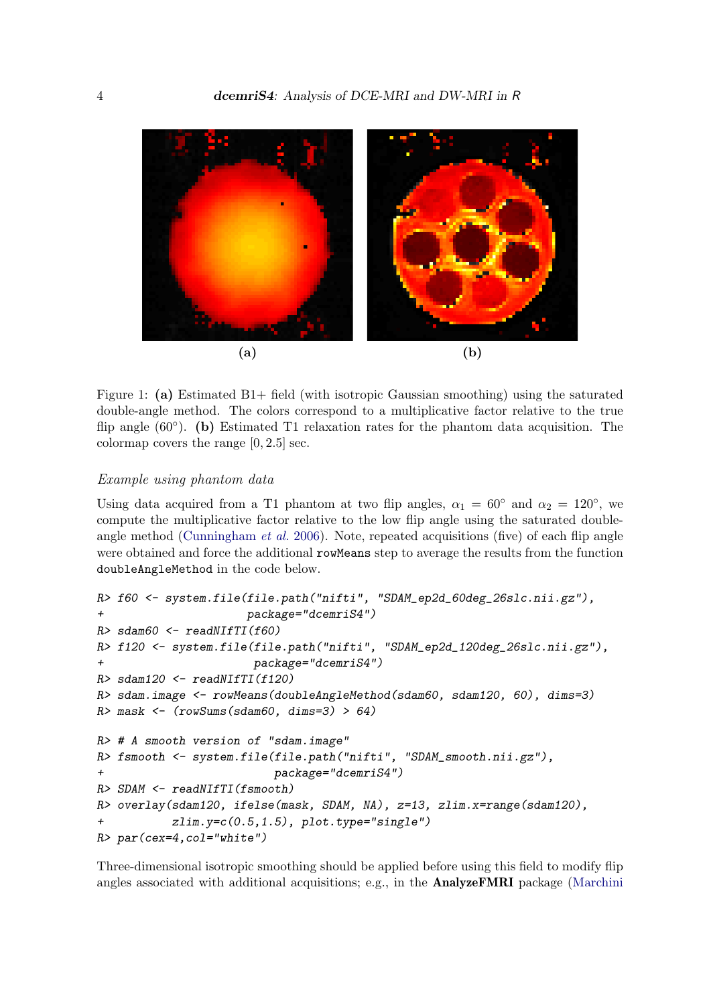

Figure 1: (a) Estimated B1+ field (with isotropic Gaussian smoothing) using the saturated double-angle method. The colors correspond to a multiplicative factor relative to the true flip angle (60°). (b) Estimated T1 relaxation rates for the phantom data acquisition. The colormap covers the range [0, 2.5] sec.

### Example using phantom data

Using data acquired from a T1 phantom at two flip angles,  $\alpha_1 = 60^\circ$  and  $\alpha_2 = 120^\circ$ , we compute the multiplicative factor relative to the low flip angle using the saturated doubleangle method (Cunningham et al. 2006). Note, repeated acquisitions (five) of each flip angle were obtained and force the additional rowMeans step to average the results from the function doubleAngleMethod in the code below.

```
R> f60 <- system.file(file.path("nifti", "SDAM_ep2d_60deg_26slc.nii.gz"),
+ package="dcemriS4")
R> sdam60 <- readNIfTI(f60)
R> f120 <- system.file(file.path("nifti", "SDAM_ep2d_120deg_26slc.nii.gz"),
                     + package="dcemriS4")
R> sdam120 <- readNIfTI(f120)
R> sdam.image <- rowMeans(doubleAngleMethod(sdam60, sdam120, 60), dims=3)
R> mask <- (rowSums(sdam60, dims=3) > 64)
R> # A smooth version of "sdam.image"
R> fsmooth <- system.file(file.path("nifti", "SDAM_smooth.nii.gz"),
+ package="dcemriS4")
R> SDAM <- readNIfTI(fsmooth)
R> overlay(sdam120, ifelse(mask, SDAM, NA), z=13, zlim.x=range(sdam120),
+ zlim.y=c(0.5,1.5), plot.type="single")
R> par(cex=4,col="white")
```
Three-dimensional isotropic smoothing should be applied before using this field to modify flip angles associated with additional acquisitions; e.g., in the **AnalyzeFMRI** package (Marchini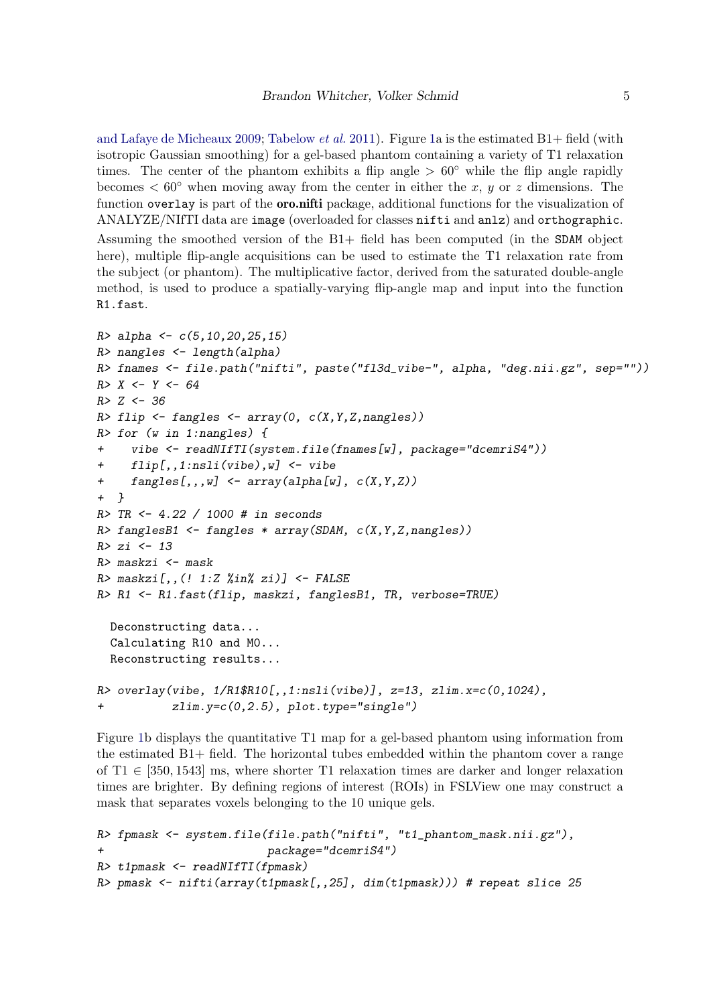and Lafaye de Micheaux 2009; Tabelow *et al.* 2011). Figure 1a is the estimated  $B1+$  field (with isotropic Gaussian smoothing) for a gel-based phantom containing a variety of T1 relaxation times. The center of the phantom exhibits a flip angle  $> 60°$  while the flip angle rapidly becomes  $\leq 60^{\circ}$  when moving away from the center in either the x, y or z dimensions. The function overlay is part of the **oro.nifti** package, additional functions for the visualization of ANALYZE/NIfTI data are image (overloaded for classes nifti and anlz) and orthographic.

Assuming the smoothed version of the B1+ field has been computed (in the SDAM object here), multiple flip-angle acquisitions can be used to estimate the T1 relaxation rate from the subject (or phantom). The multiplicative factor, derived from the saturated double-angle method, is used to produce a spatially-varying flip-angle map and input into the function R1.fast.

```
R> alpha <- c(5,10,20,25,15)
R> nangles <- length(alpha)
R> fnames <- file.path("nifti", paste("fl3d_vibe-", alpha, "deg.nii.gz", sep=""))
R> X <- Y <- 64
R> Z <- 36
R> flip <- fangles <- array(0, c(X,Y,Z,nangles))
R> for (w in 1:nangles) {
+ vibe <- readNIfTI(system.file(fnames[w], package="dcemriS4"))
     + flip[,,1:nsli(vibe),w] <- vibe
+ fangles[,,,w] <- array(alpha[w], c(X,Y,Z))
+ }
R> TR <- 4.22 / 1000 # in seconds
R> fanglesB1 <- fangles * array(SDAM, c(X,Y,Z,nangles))
R> zi <- 13
R> maskzi <- mask
R> maskzi[,,(! 1:Z %in% zi)] <- FALSE
R> R1 <- R1.fast(flip, maskzi, fanglesB1, TR, verbose=TRUE)
  Deconstructing data...
  Calculating R10 and M0...
  Reconstructing results...
R> overlay(vibe, 1/R1$R10[,,1:nsli(vibe)], z=13, zlim.x=c(0,1024),
+ zlim.y=c(0,2.5), plot.type="single")
```
Figure 1b displays the quantitative T1 map for a gel-based phantom using information from the estimated B1+ field. The horizontal tubes embedded within the phantom cover a range of  $T1 \in [350, 1543]$  ms, where shorter T1 relaxation times are darker and longer relaxation times are brighter. By defining regions of interest (ROIs) in FSLView one may construct a mask that separates voxels belonging to the 10 unique gels.

```
R> fpmask <- system.file(file.path("nifti", "t1_phantom_mask.nii.gz"),
                         + package="dcemriS4")
R> t1pmask <- readNIfTI(fpmask)
R> pmask <- nifti(array(t1pmask[,,25], dim(t1pmask))) # repeat slice 25
```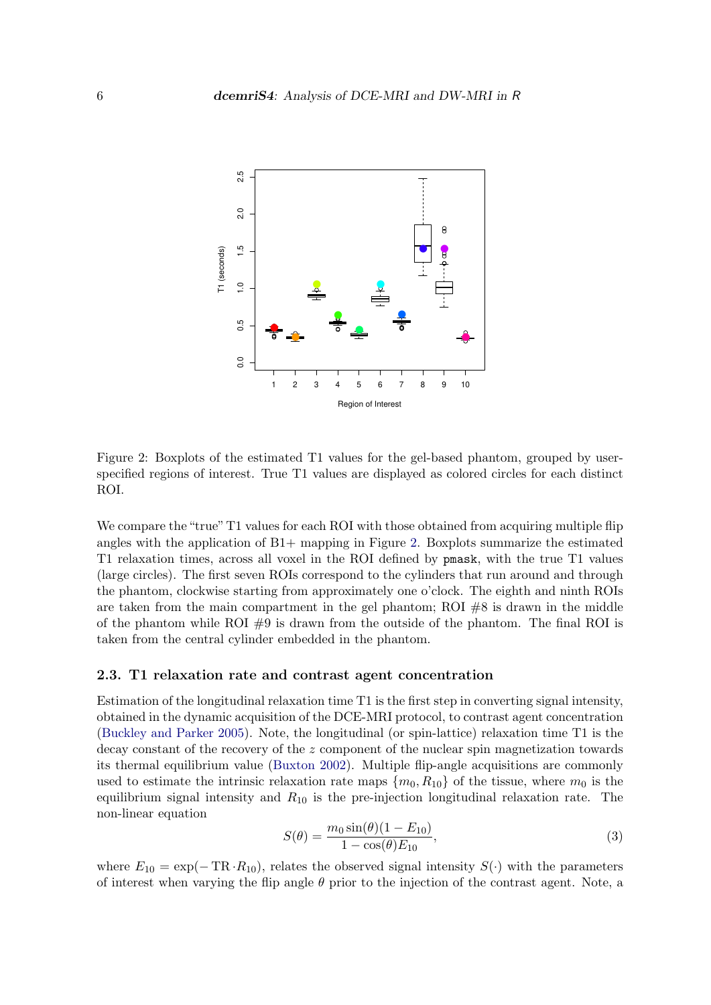

Figure 2: Boxplots of the estimated T1 values for the gel-based phantom, grouped by userspecified regions of interest. True T1 values are displayed as colored circles for each distinct ROI.

We compare the "true" T1 values for each ROI with those obtained from acquiring multiple flip angles with the application of  $B1+$  mapping in Figure 2. Boxplots summarize the estimated T1 relaxation times, across all voxel in the ROI defined by pmask, with the true T1 values (large circles). The first seven ROIs correspond to the cylinders that run around and through the phantom, clockwise starting from approximately one o'clock. The eighth and ninth ROIs are taken from the main compartment in the gel phantom; ROI  $#8$  is drawn in the middle of the phantom while ROI  $#9$  is drawn from the outside of the phantom. The final ROI is taken from the central cylinder embedded in the phantom.

### 2.3. T1 relaxation rate and contrast agent concentration

Estimation of the longitudinal relaxation time T1 is the first step in converting signal intensity, obtained in the dynamic acquisition of the DCE-MRI protocol, to contrast agent concentration (Buckley and Parker 2005). Note, the longitudinal (or spin-lattice) relaxation time T1 is the decay constant of the recovery of the z component of the nuclear spin magnetization towards its thermal equilibrium value (Buxton 2002). Multiple flip-angle acquisitions are commonly used to estimate the intrinsic relaxation rate maps  $\{m_0, R_{10}\}$  of the tissue, where  $m_0$  is the equilibrium signal intensity and  $R_{10}$  is the pre-injection longitudinal relaxation rate. The non-linear equation

$$
S(\theta) = \frac{m_0 \sin(\theta)(1 - E_{10})}{1 - \cos(\theta)E_{10}},
$$
\n(3)

where  $E_{10} = \exp(-TR \cdot R_{10})$ , relates the observed signal intensity  $S(\cdot)$  with the parameters of interest when varying the flip angle  $\theta$  prior to the injection of the contrast agent. Note, a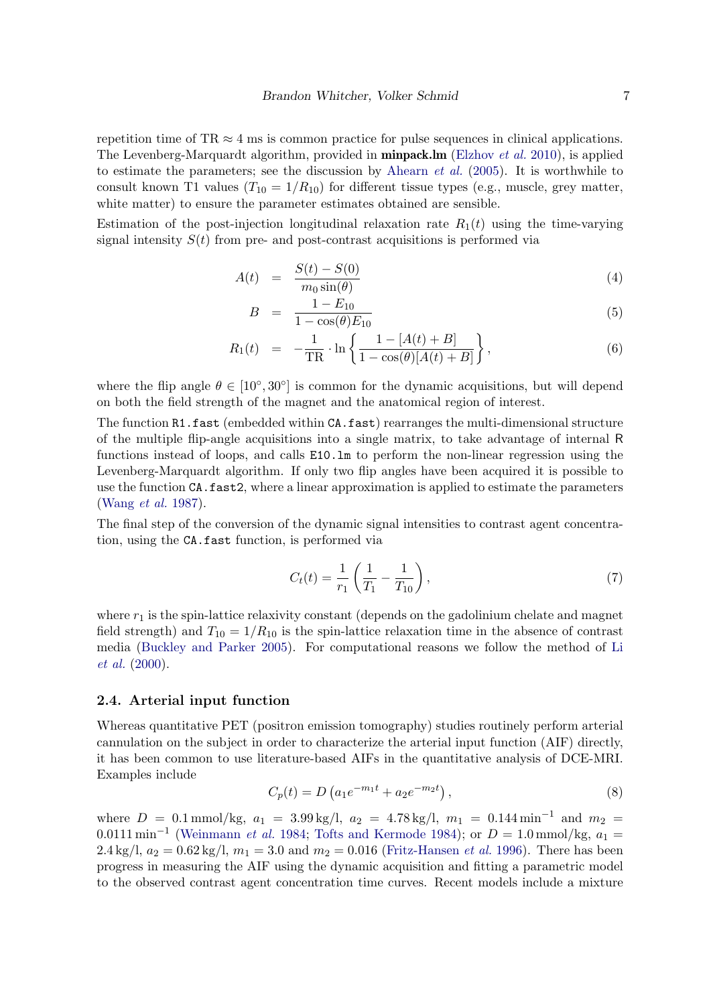repetition time of TR  $\approx$  4 ms is common practice for pulse sequences in clinical applications. The Levenberg-Marquardt algorithm, provided in **minpack.lm** (Elzhov *et al.* 2010), is applied to estimate the parameters; see the discussion by Ahearn *et al.* (2005). It is worthwhile to consult known T1 values  $(T_{10} = 1/R_{10})$  for different tissue types (e.g., muscle, grey matter, white matter) to ensure the parameter estimates obtained are sensible.

Estimation of the post-injection longitudinal relaxation rate  $R_1(t)$  using the time-varying signal intensity  $S(t)$  from pre- and post-contrast acquisitions is performed via

$$
A(t) = \frac{S(t) - S(0)}{m_0 \sin(\theta)} \tag{4}
$$

$$
B = \frac{1 - E_{10}}{1 - \cos(\theta)E_{10}}\tag{5}
$$

$$
R_1(t) = -\frac{1}{TR} \cdot \ln \left\{ \frac{1 - [A(t) + B]}{1 - \cos(\theta)[A(t) + B]} \right\},\tag{6}
$$

where the flip angle  $\theta \in [10^{\circ}, 30^{\circ}]$  is common for the dynamic acquisitions, but will depend on both the field strength of the magnet and the anatomical region of interest.

The function R1.fast (embedded within CA.fast) rearranges the multi-dimensional structure of the multiple flip-angle acquisitions into a single matrix, to take advantage of internal R functions instead of loops, and calls E10.lm to perform the non-linear regression using the Levenberg-Marquardt algorithm. If only two flip angles have been acquired it is possible to use the function CA.fast2, where a linear approximation is applied to estimate the parameters (Wang et al. 1987).

The final step of the conversion of the dynamic signal intensities to contrast agent concentration, using the CA.fast function, is performed via

$$
C_t(t) = \frac{1}{r_1} \left( \frac{1}{T_1} - \frac{1}{T_{10}} \right),\tag{7}
$$

where  $r_1$  is the spin-lattice relaxivity constant (depends on the gadolinium chelate and magnet field strength) and  $T_{10} = 1/R_{10}$  is the spin-lattice relaxation time in the absence of contrast media (Buckley and Parker 2005). For computational reasons we follow the method of Li et al. (2000).

### 2.4. Arterial input function

Whereas quantitative PET (positron emission tomography) studies routinely perform arterial cannulation on the subject in order to characterize the arterial input function (AIF) directly, it has been common to use literature-based AIFs in the quantitative analysis of DCE-MRI. Examples include

$$
C_p(t) = D\left(a_1 e^{-m_1 t} + a_2 e^{-m_2 t}\right),\tag{8}
$$

where  $D = 0.1$  mmol/kg,  $a_1 = 3.99$  kg/l,  $a_2 = 4.78$  kg/l,  $m_1 = 0.144$  min<sup>-1</sup> and  $m_2 =$ 0.0111 min<sup>-1</sup> (Weinmann et al. 1984; Tofts and Kermode 1984); or  $D = 1.0$  mmol/kg,  $a_1 =$ 2.4 kg/l,  $a_2 = 0.62$  kg/l,  $m_1 = 3.0$  and  $m_2 = 0.016$  (Fritz-Hansen *et al.* 1996). There has been progress in measuring the AIF using the dynamic acquisition and fitting a parametric model to the observed contrast agent concentration time curves. Recent models include a mixture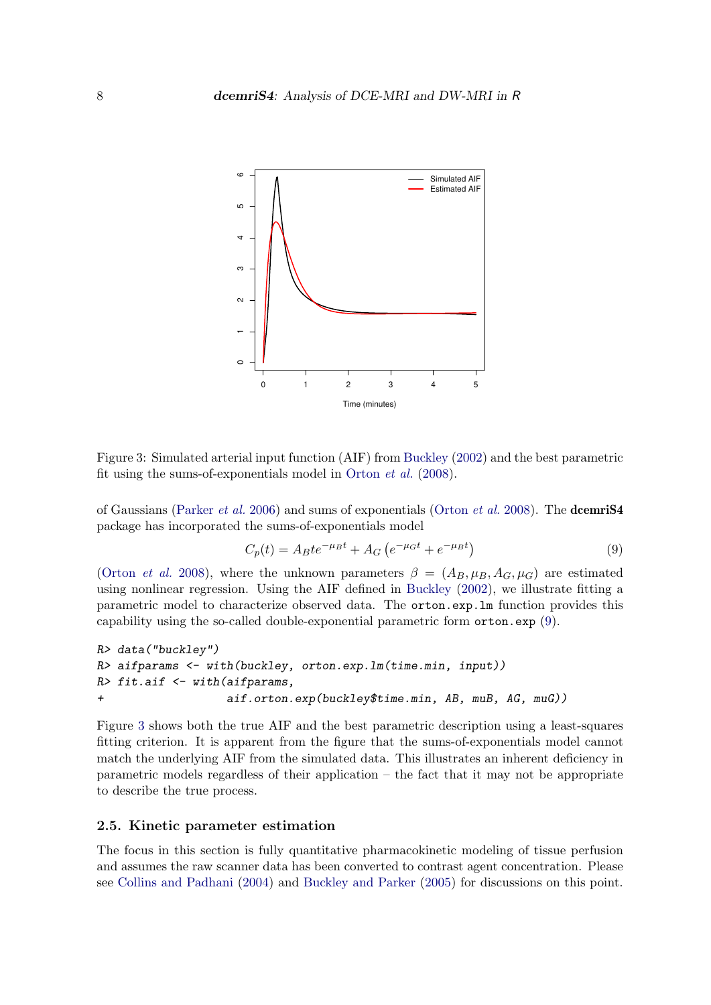

Figure 3: Simulated arterial input function (AIF) from Buckley (2002) and the best parametric fit using the sums-of-exponentials model in Orton et al. (2008).

of Gaussians (Parker *et al.* 2006) and sums of exponentials (Orton *et al.* 2008). The **dcemriS4** package has incorporated the sums-of-exponentials model

$$
C_p(t) = A_B t e^{-\mu_B t} + A_G \left( e^{-\mu_G t} + e^{-\mu_B t} \right) \tag{9}
$$

(Orton *et al.* 2008), where the unknown parameters  $\beta = (A_B, \mu_B, A_G, \mu_G)$  are estimated using nonlinear regression. Using the AIF defined in Buckley (2002), we illustrate fitting a parametric model to characterize observed data. The orton.exp.lm function provides this capability using the so-called double-exponential parametric form orton.exp (9).

```
R> data("buckley")
R> aifparams <- with(buckley, orton.exp.lm(time.min, input))
R> fit.aif <- with(aifparams,
+ aif.orton.exp(buckley$time.min, AB, muB, AG, muG))
```
Figure 3 shows both the true AIF and the best parametric description using a least-squares fitting criterion. It is apparent from the figure that the sums-of-exponentials model cannot match the underlying AIF from the simulated data. This illustrates an inherent deficiency in parametric models regardless of their application – the fact that it may not be appropriate to describe the true process.

### 2.5. Kinetic parameter estimation

The focus in this section is fully quantitative pharmacokinetic modeling of tissue perfusion and assumes the raw scanner data has been converted to contrast agent concentration. Please see Collins and Padhani (2004) and Buckley and Parker (2005) for discussions on this point.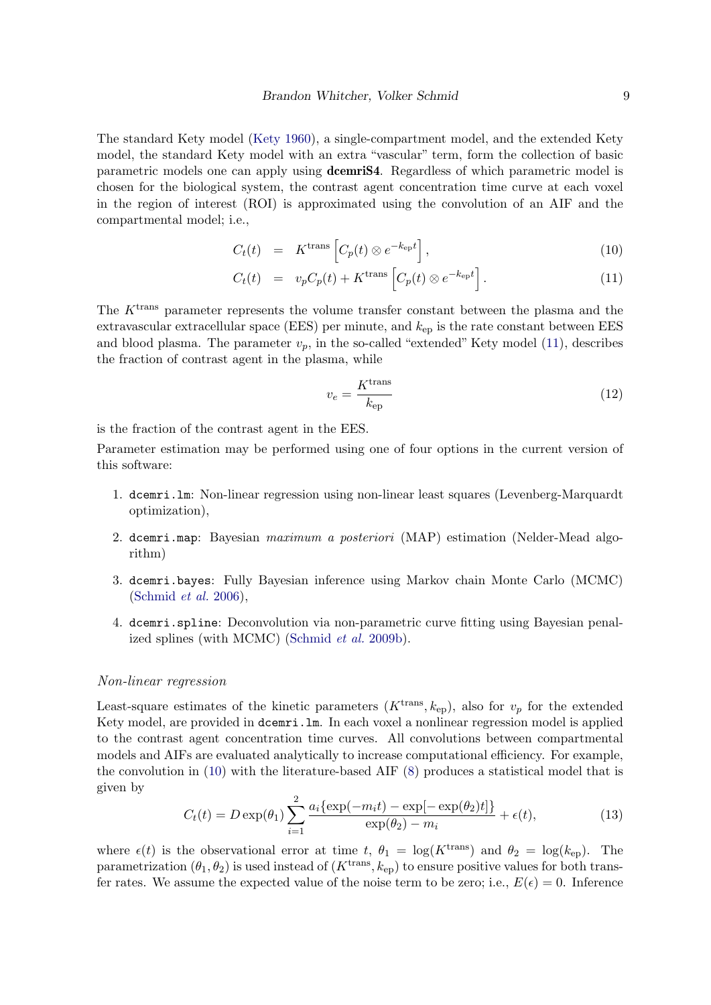The standard Kety model (Kety 1960), a single-compartment model, and the extended Kety model, the standard Kety model with an extra "vascular" term, form the collection of basic parametric models one can apply using dcemriS4. Regardless of which parametric model is chosen for the biological system, the contrast agent concentration time curve at each voxel in the region of interest (ROI) is approximated using the convolution of an AIF and the compartmental model; i.e.,

$$
C_t(t) = K^{\text{trans}} \left[ C_p(t) \otimes e^{-k_{\text{ep}}t} \right], \qquad (10)
$$

$$
C_t(t) = v_p C_p(t) + K^{\text{trans}} \left[ C_p(t) \otimes e^{-k_{\text{ep}}t} \right]. \tag{11}
$$

The  $K<sup>trans</sup>$  parameter represents the volume transfer constant between the plasma and the extravascular extracellular space (EES) per minute, and  $k_{ep}$  is the rate constant between EES and blood plasma. The parameter  $v_p$ , in the so-called "extended" Kety model (11), describes the fraction of contrast agent in the plasma, while

$$
v_e = \frac{K^{\text{trans}}}{k_{\text{ep}}}
$$
 (12)

is the fraction of the contrast agent in the EES.

Parameter estimation may be performed using one of four options in the current version of this software:

- 1. dcemri.lm: Non-linear regression using non-linear least squares (Levenberg-Marquardt optimization),
- 2. dcemri.map: Bayesian maximum a posteriori (MAP) estimation (Nelder-Mead algorithm)
- 3. dcemri.bayes: Fully Bayesian inference using Markov chain Monte Carlo (MCMC) (Schmid et al. 2006),
- 4. dcemri.spline: Deconvolution via non-parametric curve fitting using Bayesian penalized splines (with MCMC) (Schmid et al. 2009b).

#### Non-linear regression

Least-square estimates of the kinetic parameters  $(K^{\text{trans}}, k_{\text{ep}})$ , also for  $v_p$  for the extended Kety model, are provided in dcemri.lm. In each voxel a nonlinear regression model is applied to the contrast agent concentration time curves. All convolutions between compartmental models and AIFs are evaluated analytically to increase computational efficiency. For example, the convolution in (10) with the literature-based AIF (8) produces a statistical model that is given by

$$
C_t(t) = D \exp(\theta_1) \sum_{i=1}^{2} \frac{a_i \{ \exp(-m_i t) - \exp[-\exp(\theta_2)t] \}}{\exp(\theta_2) - m_i} + \epsilon(t),
$$
\n(13)

where  $\epsilon(t)$  is the observational error at time t,  $\theta_1 = \log(K^{\text{trans}})$  and  $\theta_2 = \log(k_{\text{ep}})$ . The parametrization  $(\theta_1, \theta_2)$  is used instead of  $(K^{\text{trans}}, k_{\text{ep}})$  to ensure positive values for both transfer rates. We assume the expected value of the noise term to be zero; i.e.,  $E(\epsilon) = 0$ . Inference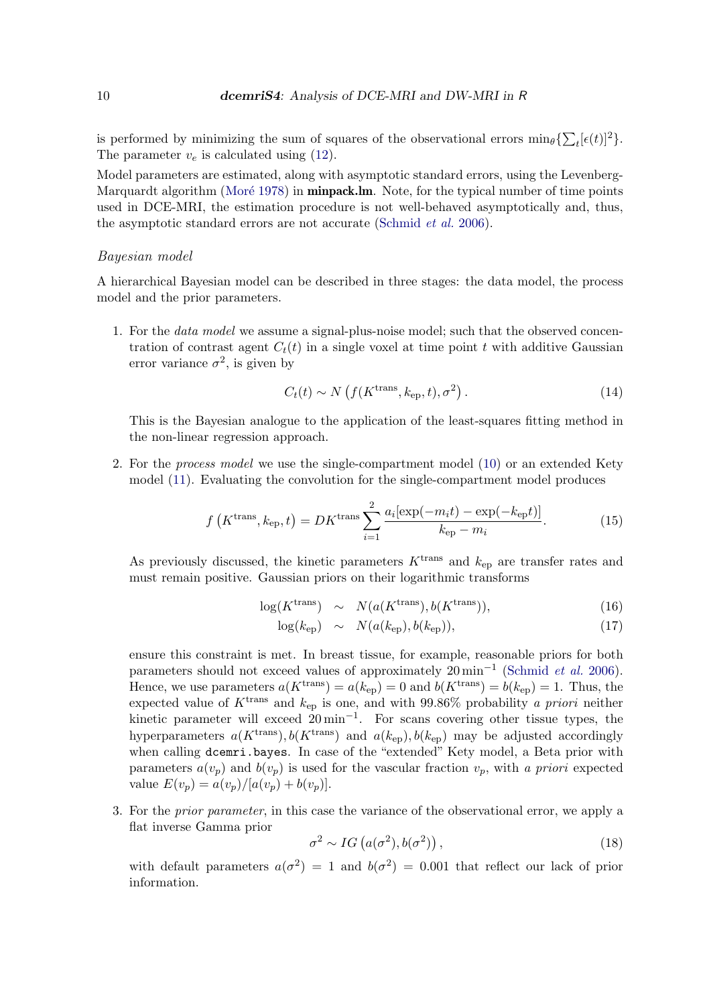is performed by minimizing the sum of squares of the observational errors  $\min_{\theta} {\sum_{t} [\epsilon(t)]^2}$ . The parameter  $v_e$  is calculated using (12).

Model parameters are estimated, along with asymptotic standard errors, using the Levenberg-Marquardt algorithm (Moré 1978) in **minpack.lm**. Note, for the typical number of time points used in DCE-MRI, the estimation procedure is not well-behaved asymptotically and, thus, the asymptotic standard errors are not accurate (Schmid *et al.* 2006).

### Bayesian model

A hierarchical Bayesian model can be described in three stages: the data model, the process model and the prior parameters.

1. For the data model we assume a signal-plus-noise model; such that the observed concentration of contrast agent  $C_t(t)$  in a single voxel at time point t with additive Gaussian error variance  $\sigma^2$ , is given by

$$
C_t(t) \sim N\left(f(K^{\text{trans}}, k_{\text{ep}}, t), \sigma^2\right). \tag{14}
$$

This is the Bayesian analogue to the application of the least-squares fitting method in the non-linear regression approach.

2. For the process model we use the single-compartment model (10) or an extended Kety model (11). Evaluating the convolution for the single-compartment model produces

$$
f\left(K^{\text{trans}}, k_{\text{ep}}, t\right) = DK^{\text{trans}} \sum_{i=1}^{2} \frac{a_i \left[\exp(-m_i t) - \exp(-k_{\text{ep}} t)\right]}{k_{\text{ep}} - m_i}.\tag{15}
$$

As previously discussed, the kinetic parameters  $K^{\text{trans}}$  and  $k_{\text{en}}$  are transfer rates and must remain positive. Gaussian priors on their logarithmic transforms

$$
\log(K^{\text{trans}}) \sim N(a(K^{\text{trans}}), b(K^{\text{trans}})), \tag{16}
$$

$$
\log(k_{\rm ep}) \sim N(a(k_{\rm ep}), b(k_{\rm ep})), \tag{17}
$$

ensure this constraint is met. In breast tissue, for example, reasonable priors for both parameters should not exceed values of approximately  $20 \text{ min}^{-1}$  (Schmid *et al.* 2006). Hence, we use parameters  $a(K^{\text{trans}}) = a(k_{ep}) = 0$  and  $b(K^{\text{trans}}) = b(k_{ep}) = 1$ . Thus, the expected value of  $K^{\text{trans}}$  and  $k_{\text{ep}}$  is one, and with 99.86% probability a priori neither kinetic parameter will exceed  $20 \text{min}^{-1}$ . For scans covering other tissue types, the hyperparameters  $a(K^{\text{trans}}), b(K^{\text{trans}})$  and  $a(k_{\text{ep}}), b(k_{\text{ep}})$  may be adjusted accordingly when calling dcemri.bayes. In case of the "extended" Kety model, a Beta prior with parameters  $a(v_p)$  and  $b(v_p)$  is used for the vascular fraction  $v_p$ , with a priori expected value  $E(v_p) = a(v_p)/[a(v_p) + b(v_p)].$ 

3. For the prior parameter, in this case the variance of the observational error, we apply a flat inverse Gamma prior

$$
\sigma^2 \sim IG\left(a(\sigma^2), b(\sigma^2)\right),\tag{18}
$$

with default parameters  $a(\sigma^2) = 1$  and  $b(\sigma^2) = 0.001$  that reflect our lack of prior information.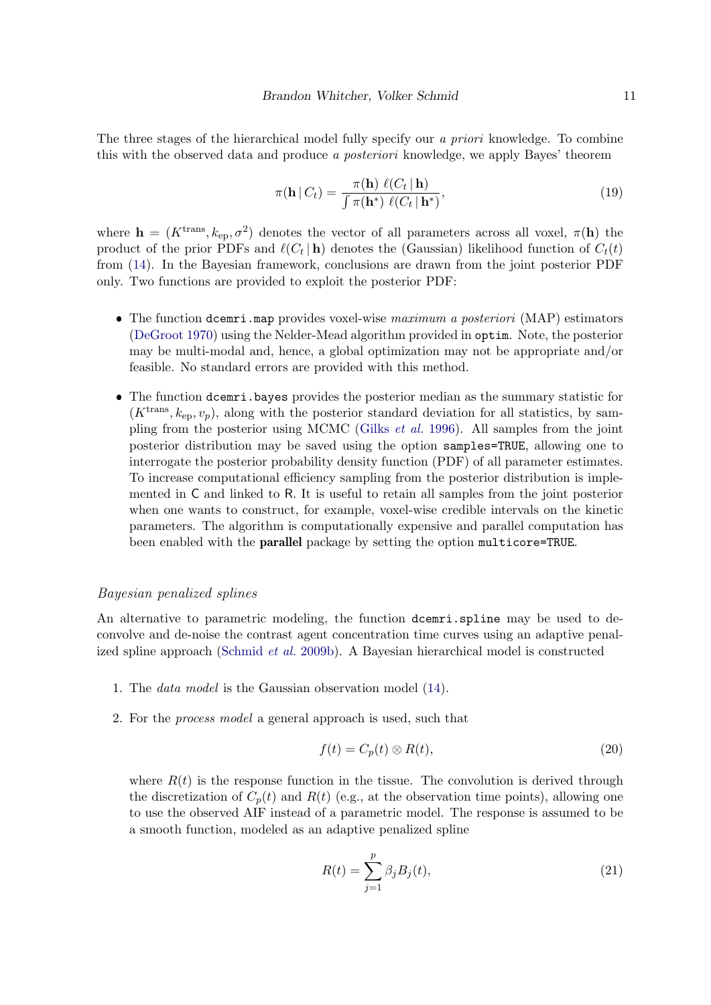The three stages of the hierarchical model fully specify our *a priori* knowledge. To combine this with the observed data and produce a posteriori knowledge, we apply Bayes' theorem

$$
\pi(\mathbf{h} \mid C_t) = \frac{\pi(\mathbf{h}) \ell(C_t \mid \mathbf{h})}{\int \pi(\mathbf{h}^*) \ell(C_t \mid \mathbf{h}^*)},\tag{19}
$$

where  $\mathbf{h} = (K^{\text{trans}}, k_{\text{ep}}, \sigma^2)$  denotes the vector of all parameters across all voxel,  $\pi(\mathbf{h})$  the product of the prior PDFs and  $\ell(C_t | \mathbf{h})$  denotes the (Gaussian) likelihood function of  $C_t(t)$ from (14). In the Bayesian framework, conclusions are drawn from the joint posterior PDF only. Two functions are provided to exploit the posterior PDF:

- The function dcemri.map provides voxel-wise maximum a posteriori (MAP) estimators (DeGroot 1970) using the Nelder-Mead algorithm provided in optim. Note, the posterior may be multi-modal and, hence, a global optimization may not be appropriate and/or feasible. No standard errors are provided with this method.
- ❼ The function dcemri.bayes provides the posterior median as the summary statistic for  $(K<sup>trans</sup>, k<sub>en</sub>, v<sub>n</sub>)$ , along with the posterior standard deviation for all statistics, by sampling from the posterior using MCMC (Gilks et al. 1996). All samples from the joint posterior distribution may be saved using the option samples=TRUE, allowing one to interrogate the posterior probability density function (PDF) of all parameter estimates. To increase computational efficiency sampling from the posterior distribution is implemented in C and linked to R. It is useful to retain all samples from the joint posterior when one wants to construct, for example, voxel-wise credible intervals on the kinetic parameters. The algorithm is computationally expensive and parallel computation has been enabled with the parallel package by setting the option multicore=TRUE.

### Bayesian penalized splines

An alternative to parametric modeling, the function dcemri.spline may be used to deconvolve and de-noise the contrast agent concentration time curves using an adaptive penalized spline approach (Schmid et al. 2009b). A Bayesian hierarchical model is constructed

- 1. The data model is the Gaussian observation model (14).
- 2. For the process model a general approach is used, such that

$$
f(t) = C_p(t) \otimes R(t),\tag{20}
$$

where  $R(t)$  is the response function in the tissue. The convolution is derived through the discretization of  $C_p(t)$  and  $R(t)$  (e.g., at the observation time points), allowing one to use the observed AIF instead of a parametric model. The response is assumed to be a smooth function, modeled as an adaptive penalized spline

$$
R(t) = \sum_{j=1}^{p} \beta_j B_j(t),
$$
\n(21)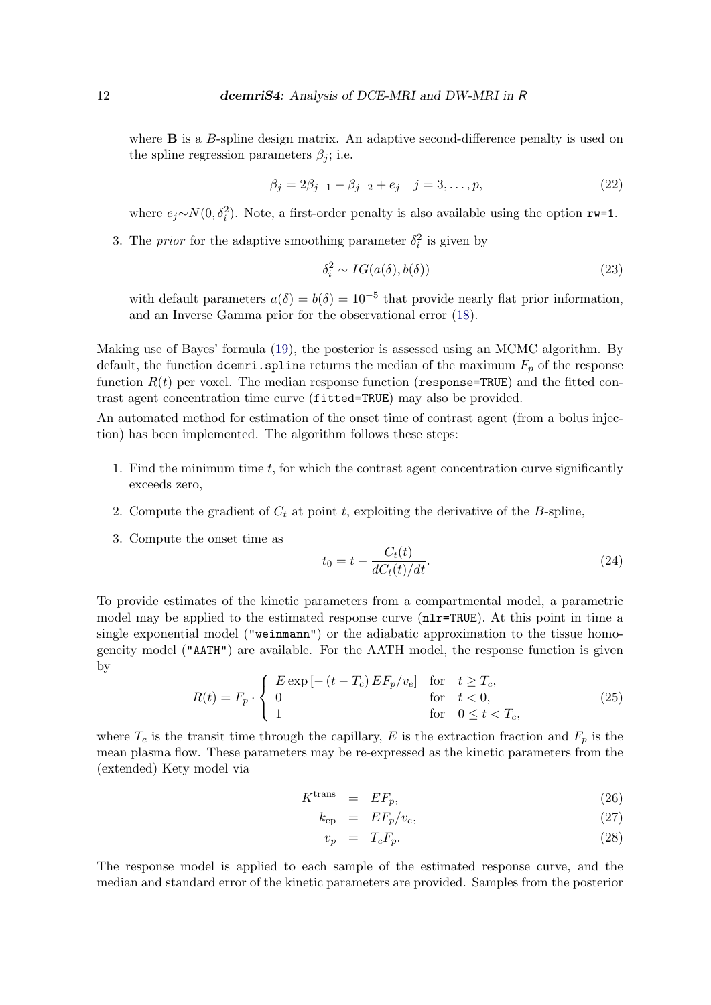where  $\bf{B}$  is a  $\bf{B}$ -spline design matrix. An adaptive second-difference penalty is used on the spline regression parameters  $\beta_i$ ; i.e.

$$
\beta_j = 2\beta_{j-1} - \beta_{j-2} + e_j \quad j = 3, \dots, p,\tag{22}
$$

where  $e_j \sim N(0, \delta_i^2)$ . Note, a first-order penalty is also available using the option rw=1.

3. The *prior* for the adaptive smoothing parameter  $\delta_i^2$  is given by

$$
\delta_i^2 \sim IG(a(\delta), b(\delta))
$$
\n(23)

with default parameters  $a(\delta) = b(\delta) = 10^{-5}$  that provide nearly flat prior information, and an Inverse Gamma prior for the observational error (18).

Making use of Bayes' formula (19), the posterior is assessed using an MCMC algorithm. By default, the function dcemri.spline returns the median of the maximum  $F_p$  of the response function  $R(t)$  per voxel. The median response function (response=TRUE) and the fitted contrast agent concentration time curve (fitted=TRUE) may also be provided.

An automated method for estimation of the onset time of contrast agent (from a bolus injection) has been implemented. The algorithm follows these steps:

- 1. Find the minimum time t, for which the contrast agent concentration curve significantly exceeds zero,
- 2. Compute the gradient of  $C_t$  at point t, exploiting the derivative of the B-spline,
- 3. Compute the onset time as

$$
t_0 = t - \frac{C_t(t)}{dC_t(t)/dt}.\tag{24}
$$

To provide estimates of the kinetic parameters from a compartmental model, a parametric model may be applied to the estimated response curve  $(nlr=TRUE)$ . At this point in time a single exponential model ("weinmann") or the adiabatic approximation to the tissue homogeneity model ("AATH") are available. For the AATH model, the response function is given by

$$
R(t) = F_p \cdot \begin{cases} E \exp\left[-\left(t - T_c\right) E F_p / v_e\right] & \text{for} \quad t \ge T_c, \\ 0 & \text{for} \quad t < 0, \\ 1 & \text{for} \quad 0 \le t < T_c, \end{cases} \tag{25}
$$

where  $T_c$  is the transit time through the capillary, E is the extraction fraction and  $F_p$  is the mean plasma flow. These parameters may be re-expressed as the kinetic parameters from the (extended) Kety model via

$$
K^{\text{trans}} = EF_p, \tag{26}
$$

$$
k_{\rm ep} = EF_p/v_e,\t\t(27)
$$

$$
v_p = T_c F_p. \tag{28}
$$

The response model is applied to each sample of the estimated response curve, and the median and standard error of the kinetic parameters are provided. Samples from the posterior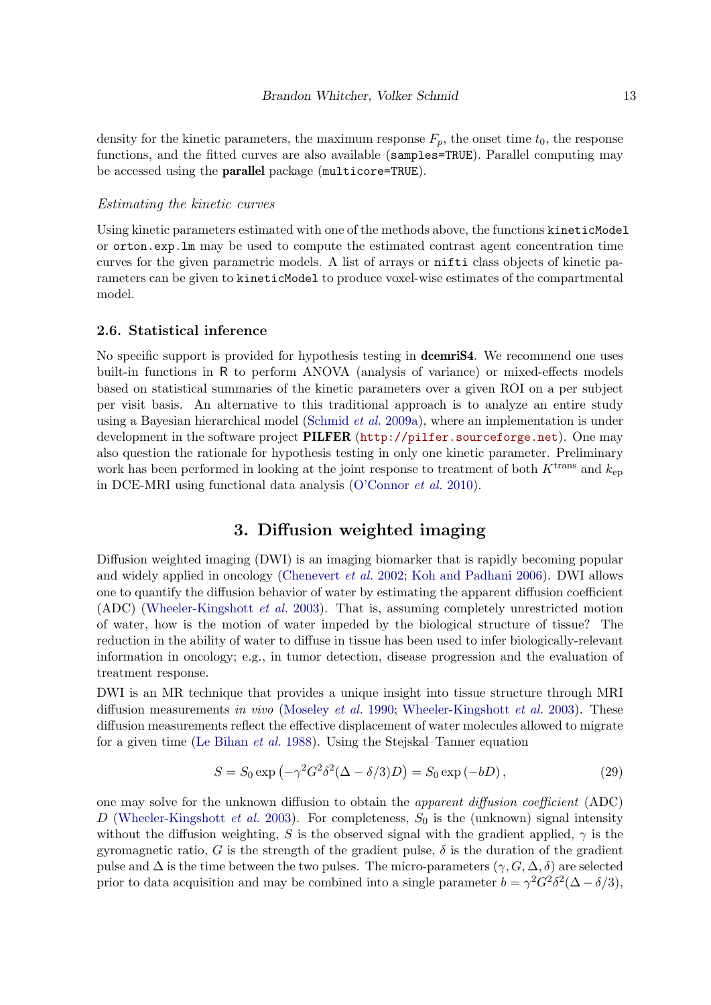density for the kinetic parameters, the maximum response  $F_p$ , the onset time  $t_0$ , the response functions, and the fitted curves are also available (samples=TRUE). Parallel computing may be accessed using the parallel package (multicore=TRUE).

### Estimating the kinetic curves

Using kinetic parameters estimated with one of the methods above, the functions kineticModel or orton.exp.lm may be used to compute the estimated contrast agent concentration time curves for the given parametric models. A list of arrays or nifti class objects of kinetic parameters can be given to kineticModel to produce voxel-wise estimates of the compartmental model.

### 2.6. Statistical inference

No specific support is provided for hypothesis testing in **dcemriS4**. We recommend one uses built-in functions in R to perform ANOVA (analysis of variance) or mixed-effects models based on statistical summaries of the kinetic parameters over a given ROI on a per subject per visit basis. An alternative to this traditional approach is to analyze an entire study using a Bayesian hierarchical model (Schmid et al. 2009a), where an implementation is under development in the software project PILFER (http://pilfer.sourceforge.net). One may also question the rationale for hypothesis testing in only one kinetic parameter. Preliminary work has been performed in looking at the joint response to treatment of both  $K<sup>trans</sup>$  and  $k<sub>ep</sub>$ in DCE-MRI using functional data analysis (O'Connor et al. 2010).

# 3. Diffusion weighted imaging

Diffusion weighted imaging (DWI) is an imaging biomarker that is rapidly becoming popular and widely applied in oncology (Chenevert et al. 2002; Koh and Padhani 2006). DWI allows one to quantify the diffusion behavior of water by estimating the apparent diffusion coefficient (ADC) (Wheeler-Kingshott et al. 2003). That is, assuming completely unrestricted motion of water, how is the motion of water impeded by the biological structure of tissue? The reduction in the ability of water to diffuse in tissue has been used to infer biologically-relevant information in oncology; e.g., in tumor detection, disease progression and the evaluation of treatment response.

DWI is an MR technique that provides a unique insight into tissue structure through MRI diffusion measurements in vivo (Moseley et al. 1990; Wheeler-Kingshott et al. 2003). These diffusion measurements reflect the effective displacement of water molecules allowed to migrate for a given time (Le Bihan et al. 1988). Using the Stejskal–Tanner equation

$$
S = S_0 \exp\left(-\gamma^2 G^2 \delta^2 (\Delta - \delta/3)D\right) = S_0 \exp\left(-bD\right),\tag{29}
$$

one may solve for the unknown diffusion to obtain the apparent diffusion coefficient (ADC) D (Wheeler-Kingshott et al. 2003). For completeness,  $S_0$  is the (unknown) signal intensity without the diffusion weighting, S is the observed signal with the gradient applied,  $\gamma$  is the gyromagnetic ratio, G is the strength of the gradient pulse,  $\delta$  is the duration of the gradient pulse and  $\Delta$  is the time between the two pulses. The micro-parameters  $(\gamma, G, \Delta, \delta)$  are selected prior to data acquisition and may be combined into a single parameter  $b = \gamma^2 G^2 \delta^2 (\Delta - \delta/3)$ ,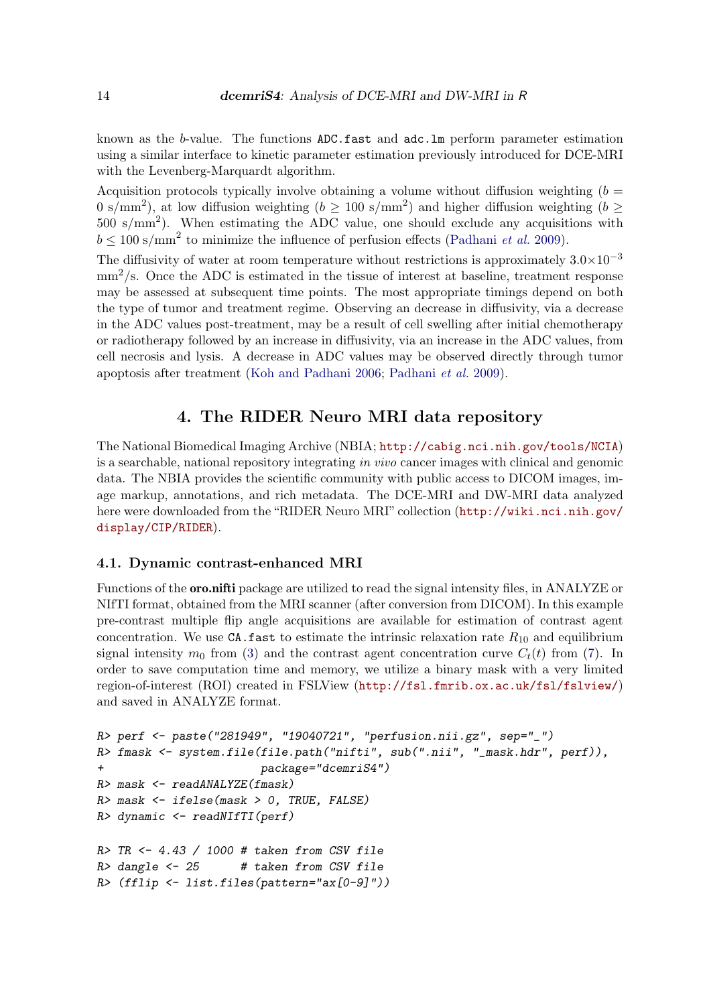known as the b-value. The functions ADC.fast and adc.lm perform parameter estimation using a similar interface to kinetic parameter estimation previously introduced for DCE-MRI with the Levenberg-Marquardt algorithm.

Acquisition protocols typically involve obtaining a volume without diffusion weighting  $(b =$ 0 s/mm<sup>2</sup>), at low diffusion weighting ( $b \ge 100$  s/mm<sup>2</sup>) and higher diffusion weighting ( $b \ge$  $500 \text{ s/mm}^2$ ). When estimating the ADC value, one should exclude any acquisitions with  $b \leq 100 \text{ s/mm}^2$  to minimize the influence of perfusion effects (Padhani *et al.* 2009).

The diffusivity of water at room temperature without restrictions is approximately  $3.0\times10^{-3}$  $\text{mm}^2$ /s. Once the ADC is estimated in the tissue of interest at baseline, treatment response may be assessed at subsequent time points. The most appropriate timings depend on both the type of tumor and treatment regime. Observing an decrease in diffusivity, via a decrease in the ADC values post-treatment, may be a result of cell swelling after initial chemotherapy or radiotherapy followed by an increase in diffusivity, via an increase in the ADC values, from cell necrosis and lysis. A decrease in ADC values may be observed directly through tumor apoptosis after treatment (Koh and Padhani 2006; Padhani et al. 2009).

# 4. The RIDER Neuro MRI data repository

The National Biomedical Imaging Archive (NBIA; http://cabig.nci.nih.gov/tools/NCIA) is a searchable, national repository integrating in vivo cancer images with clinical and genomic data. The NBIA provides the scientific community with public access to DICOM images, image markup, annotations, and rich metadata. The DCE-MRI and DW-MRI data analyzed here were downloaded from the "RIDER Neuro MRI" collection (http://wiki.nci.nih.gov/ display/CIP/RIDER).

### 4.1. Dynamic contrast-enhanced MRI

Functions of the oro.nifti package are utilized to read the signal intensity files, in ANALYZE or NIfTI format, obtained from the MRI scanner (after conversion from DICOM). In this example pre-contrast multiple flip angle acquisitions are available for estimation of contrast agent concentration. We use  $CA$ . fast to estimate the intrinsic relaxation rate  $R_{10}$  and equilibrium signal intensity  $m_0$  from (3) and the contrast agent concentration curve  $C_t(t)$  from (7). In order to save computation time and memory, we utilize a binary mask with a very limited region-of-interest (ROI) created in FSLView (http://fsl.fmrib.ox.ac.uk/fsl/fslview/) and saved in ANALYZE format.

```
R> perf <- paste("281949", "19040721", "perfusion.nii.gz", sep="_")
R> fmask <- system.file(file.path("nifti", sub(".nii", "_mask.hdr", perf)),
+ package="dcemriS4")
R> mask <- readANALYZE(fmask)
R> mask <- ifelse(mask > 0, TRUE, FALSE)
R> dynamic <- readNIfTI(perf)
R> TR <- 4.43 / 1000 # taken from CSV file
R> dangle <- 25 # taken from CSV file
R> (fflip <- list.files(pattern="ax[0-9]"))
```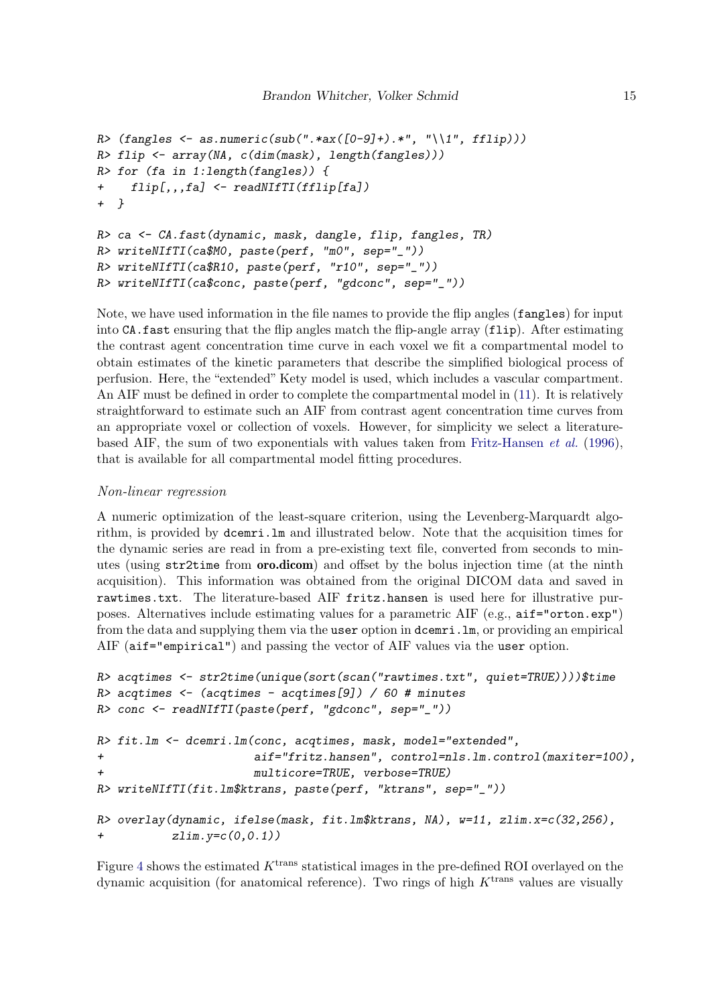```
R> (fangles <- as.numeric(sub(".*ax([0-9]+).*", "\\1", fflip)))
R> flip <- array(NA, c(dim(mask), length(fangles)))
R> for (fa in 1:length(fangles)) {
+ flip[,,,fa] <- readNIfTI(fflip[fa])
+ }
R> ca <- CA.fast(dynamic, mask, dangle, flip, fangles, TR)
R> writeNIfTI(ca$M0, paste(perf, "m0", sep="_"))
R> writeNIfTI(ca$R10, paste(perf, "r10", sep="_"))
R> writeNIfTI(ca$conc, paste(perf, "gdconc", sep="_"))
```

```
Note, we have used information in the file names to provide the flip angles (fangles) for input
into CA.fast ensuring that the flip angles match the flip-angle array (flip). After estimating
the contrast agent concentration time curve in each voxel we fit a compartmental model to
obtain estimates of the kinetic parameters that describe the simplified biological process of
perfusion. Here, the "extended" Kety model is used, which includes a vascular compartment.
An AIF must be defined in order to complete the compartmental model in (11). It is relatively
straightforward to estimate such an AIF from contrast agent concentration time curves from
an appropriate voxel or collection of voxels. However, for simplicity we select a literature-
based AIF, the sum of two exponentials with values taken from Fritz-Hansen et al. (1996),
that is available for all compartmental model fitting procedures.
```
### Non-linear regression

A numeric optimization of the least-square criterion, using the Levenberg-Marquardt algorithm, is provided by dcemri.lm and illustrated below. Note that the acquisition times for the dynamic series are read in from a pre-existing text file, converted from seconds to minutes (using str2time from oro.dicom) and offset by the bolus injection time (at the ninth acquisition). This information was obtained from the original DICOM data and saved in rawtimes.txt. The literature-based AIF fritz.hansen is used here for illustrative purposes. Alternatives include estimating values for a parametric AIF (e.g.,  $a$ if="orton.exp") from the data and supplying them via the user option in dcemri.lm, or providing an empirical AIF (aif="empirical") and passing the vector of AIF values via the user option.

```
R> acqtimes <- str2time(unique(sort(scan("rawtimes.txt", quiet=TRUE))))$time
R> acqtimes <- (acqtimes - acqtimes[9]) / 60 # minutes
R> conc <- readNIfTI(paste(perf, "gdconc", sep="_"))
R> fit.lm <- dcemri.lm(conc, acqtimes, mask, model="extended",
+ aif="fritz.hansen", control=nls.lm.control(maxiter=100),
+ multicore=TRUE, verbose=TRUE)
R> writeNIfTI(fit.lm$ktrans, paste(perf, "ktrans", sep="_"))
R> overlay(dynamic, ifelse(mask, fit.lm$ktrans, NA), w=11, zlim.x=c(32,256),
+ zlim.y=c(0,0.1))
```
Figure 4 shows the estimated  $K<sup>trans</sup>$  statistical images in the pre-defined ROI overlayed on the dynamic acquisition (for anatomical reference). Two rings of high  $K<sup>trans</sup>$  values are visually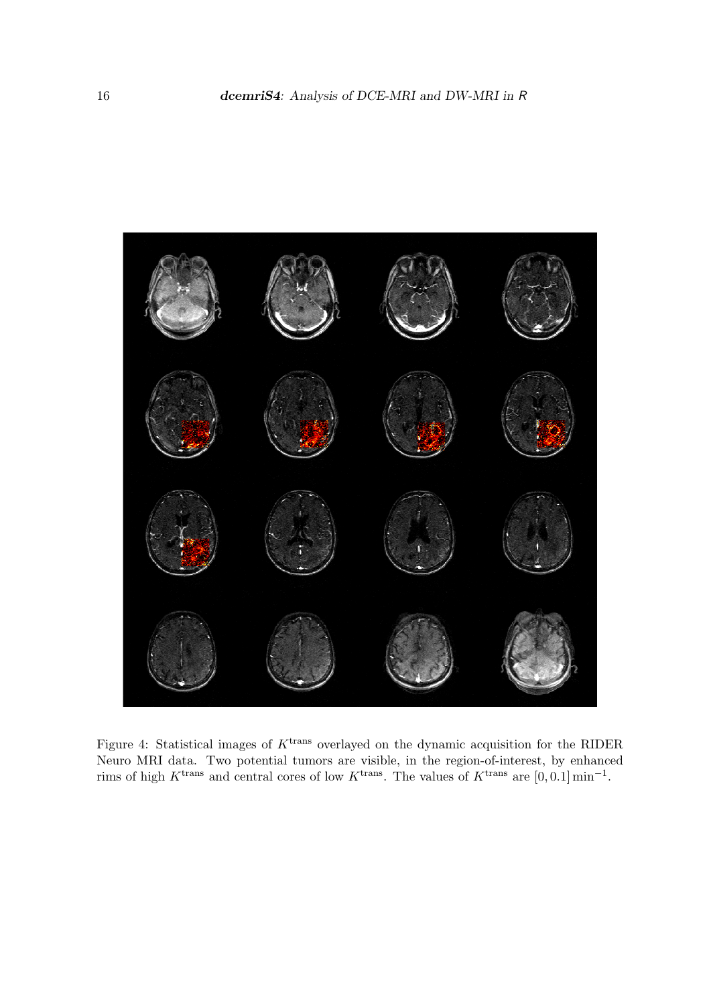

Figure 4: Statistical images of  $K<sup>trans</sup>$  overlayed on the dynamic acquisition for the RIDER Neuro MRI data. Two potential tumors are visible, in the region-of-interest, by enhanced rims of high K<sup>trans</sup> and central cores of low K<sup>trans</sup>. The values of K<sup>trans</sup> are [0, 0.1] min<sup>-1</sup>.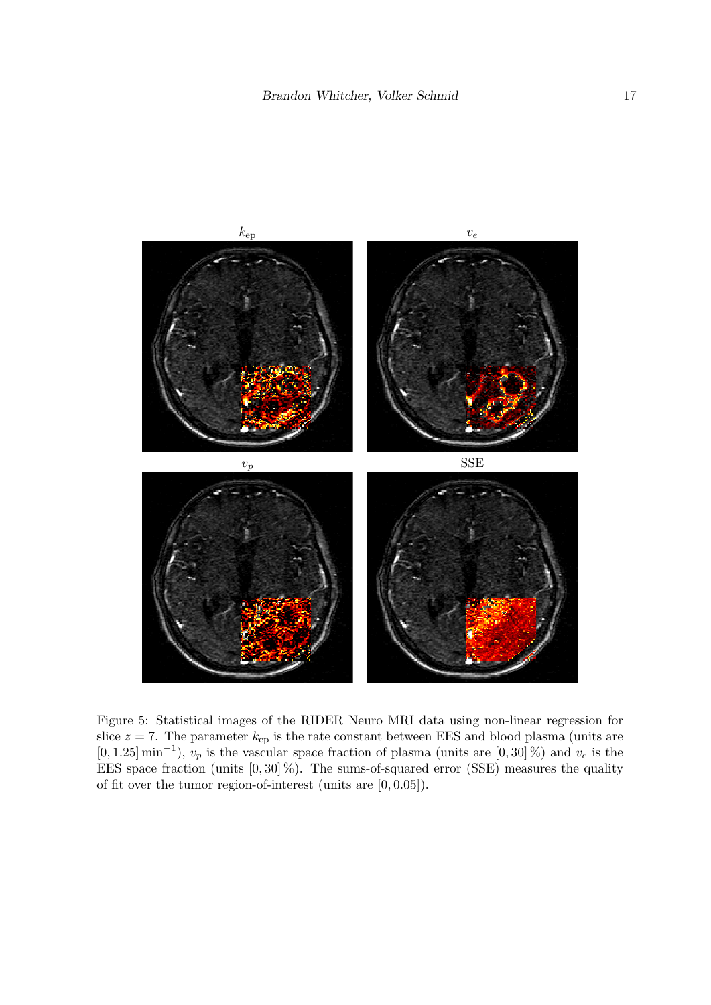

Figure 5: Statistical images of the RIDER Neuro MRI data using non-linear regression for slice  $z = 7$ . The parameter  $k_{ep}$  is the rate constant between EES and blood plasma (units are  $[0, 1.25]$  min<sup>-1</sup>),  $v_p$  is the vascular space fraction of plasma (units are  $[0, 30]$ %) and  $v_e$  is the EES space fraction (units  $[0, 30]$ %). The sums-of-squared error (SSE) measures the quality of fit over the tumor region-of-interest (units are [0, 0.05]).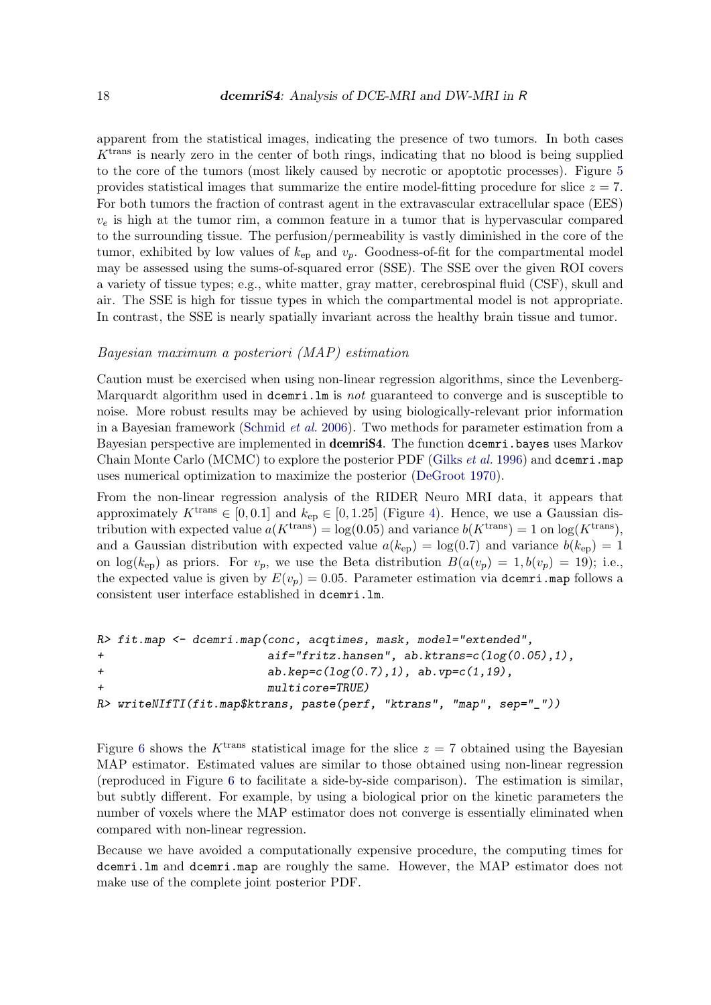apparent from the statistical images, indicating the presence of two tumors. In both cases  $K<sup>trans</sup>$  is nearly zero in the center of both rings, indicating that no blood is being supplied to the core of the tumors (most likely caused by necrotic or apoptotic processes). Figure 5 provides statistical images that summarize the entire model-fitting procedure for slice  $z = 7$ . For both tumors the fraction of contrast agent in the extravascular extracellular space (EES)  $v_e$  is high at the tumor rim, a common feature in a tumor that is hypervascular compared to the surrounding tissue. The perfusion/permeability is vastly diminished in the core of the tumor, exhibited by low values of  $k_{ep}$  and  $v_p$ . Goodness-of-fit for the compartmental model may be assessed using the sums-of-squared error (SSE). The SSE over the given ROI covers a variety of tissue types; e.g., white matter, gray matter, cerebrospinal fluid (CSF), skull and air. The SSE is high for tissue types in which the compartmental model is not appropriate. In contrast, the SSE is nearly spatially invariant across the healthy brain tissue and tumor.

### Bayesian maximum a posteriori (MAP) estimation

Caution must be exercised when using non-linear regression algorithms, since the Levenberg-Marquardt algorithm used in dcemri. In is not guaranteed to converge and is susceptible to noise. More robust results may be achieved by using biologically-relevant prior information in a Bayesian framework (Schmid et al. 2006). Two methods for parameter estimation from a Bayesian perspective are implemented in **dcemriS4**. The function dcemri.bayes uses Markov Chain Monte Carlo (MCMC) to explore the posterior PDF (Gilks  $et$  al. 1996) and dcemri.map uses numerical optimization to maximize the posterior (DeGroot 1970).

From the non-linear regression analysis of the RIDER Neuro MRI data, it appears that approximately  $K^{\text{trans}} \in [0, 0.1]$  and  $k_{\text{ep}} \in [0, 1.25]$  (Figure 4). Hence, we use a Gaussian distribution with expected value  $a(K^{\text{trans}}) = \log(0.05)$  and variance  $b(K^{\text{trans}}) = 1$  on  $\log(K^{\text{trans}})$ , and a Gaussian distribution with expected value  $a(k_{ep}) = \log(0.7)$  and variance  $b(k_{ep}) = 1$ on  $log(k_{ep})$  as priors. For  $v_p$ , we use the Beta distribution  $B(a(v_p) = 1, b(v_p) = 19)$ ; i.e., the expected value is given by  $E(v_p) = 0.05$ . Parameter estimation via dcemri.map follows a consistent user interface established in dcemri.lm.

```
R> fit.map <- dcemri.map(conc, acqtimes, mask, model="extended",
+ aif="fritz.hansen", ab.ktrans=c(log(0.05),1),
+ ab.kep=c(log(0.7),1), ab.vp=c(1,19),
+ multicore=TRUE)
R> writeNIfTI(fit.map$ktrans, paste(perf, "ktrans", "map", sep="_"))
```
Figure 6 shows the K<sup>trans</sup> statistical image for the slice  $z = 7$  obtained using the Bayesian MAP estimator. Estimated values are similar to those obtained using non-linear regression (reproduced in Figure 6 to facilitate a side-by-side comparison). The estimation is similar, but subtly different. For example, by using a biological prior on the kinetic parameters the number of voxels where the MAP estimator does not converge is essentially eliminated when compared with non-linear regression.

Because we have avoided a computationally expensive procedure, the computing times for dcemri.lm and dcemri.map are roughly the same. However, the MAP estimator does not make use of the complete joint posterior PDF.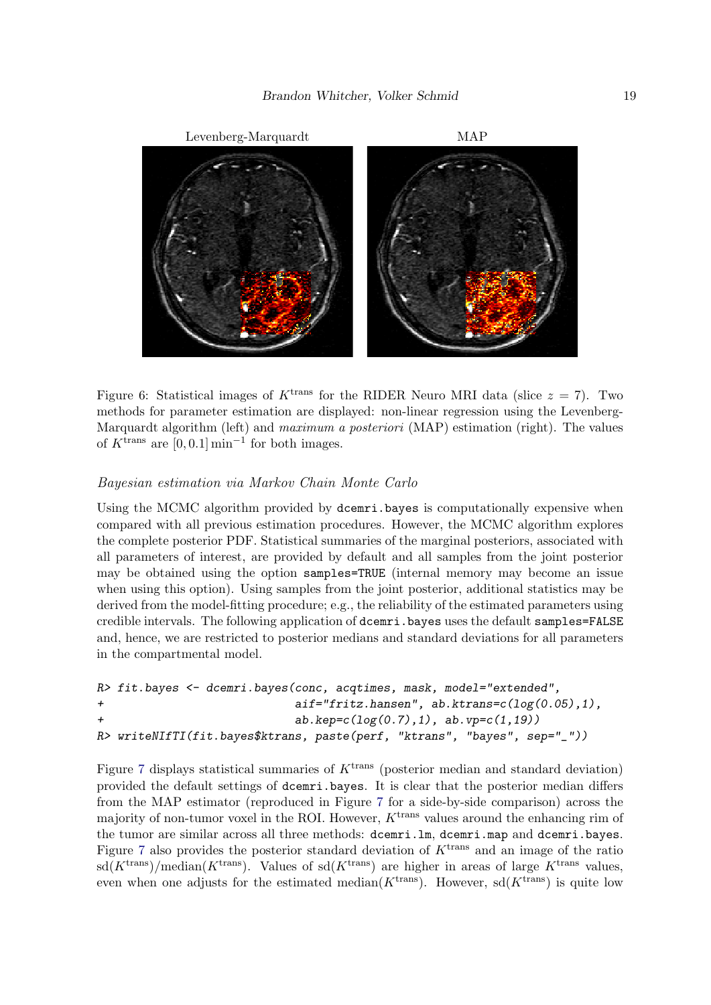

Figure 6: Statistical images of K<sup>trans</sup> for the RIDER Neuro MRI data (slice  $z = 7$ ). Two methods for parameter estimation are displayed: non-linear regression using the Levenberg-Marquardt algorithm (left) and *maximum a posteriori* (MAP) estimation (right). The values of  $K^{\text{trans}}$  are  $[0, 0.1]$  min<sup>-1</sup> for both images.

### Bayesian estimation via Markov Chain Monte Carlo

Using the MCMC algorithm provided by dcemri.bayes is computationally expensive when compared with all previous estimation procedures. However, the MCMC algorithm explores the complete posterior PDF. Statistical summaries of the marginal posteriors, associated with all parameters of interest, are provided by default and all samples from the joint posterior may be obtained using the option samples=TRUE (internal memory may become an issue when using this option). Using samples from the joint posterior, additional statistics may be derived from the model-fitting procedure; e.g., the reliability of the estimated parameters using credible intervals. The following application of dcemri.bayes uses the default samples=FALSE and, hence, we are restricted to posterior medians and standard deviations for all parameters in the compartmental model.

```
R> fit.bayes <- dcemri.bayes(conc, acqtimes, mask, model="extended",
+ aif="fritz.hansen", ab.ktrans=c(log(0.05),1),
+ ab.kep=c(log(0.7),1), ab.vp=c(1,19))
R> writeNIfTI(fit.bayes$ktrans, paste(perf, "ktrans", "bayes", sep="_"))
```
Figure 7 displays statistical summaries of  $K<sup>trans</sup>$  (posterior median and standard deviation) provided the default settings of dcemri.bayes. It is clear that the posterior median differs from the MAP estimator (reproduced in Figure 7 for a side-by-side comparison) across the majority of non-tumor voxel in the ROI. However,  $K<sup>trans</sup>$  values around the enhancing rim of the tumor are similar across all three methods: dcemri.lm, dcemri.map and dcemri.bayes. Figure 7 also provides the posterior standard deviation of  $K<sup>trans</sup>$  and an image of the ratio  $sd(K^{trans})/median(K^{trans})$ . Values of  $sd(K^{trans})$  are higher in areas of large K<sup>trans</sup> values, even when one adjusts for the estimated median( $K^{\text{trans}}$ ). However, sd( $K^{\text{trans}}$ ) is quite low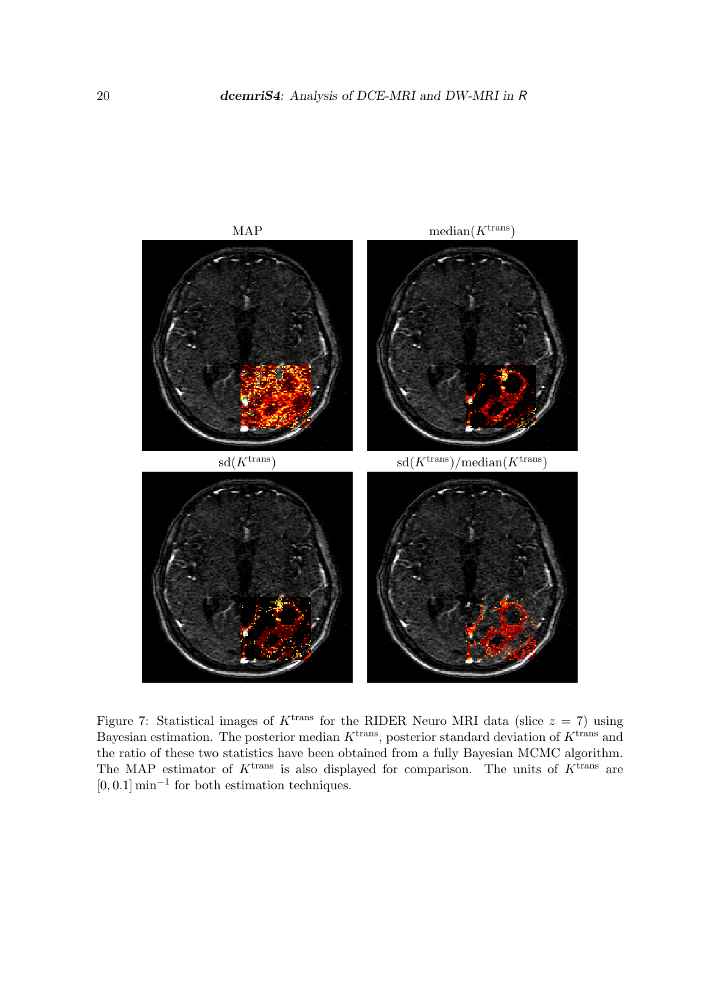

Figure 7: Statistical images of  $K^{\text{trans}}$  for the RIDER Neuro MRI data (slice  $z = 7$ ) using Bayesian estimation. The posterior median  $K^{\text{trans}}$ , posterior standard deviation of  $K^{\text{trans}}$  and the ratio of these two statistics have been obtained from a fully Bayesian MCMC algorithm. The MAP estimator of  $K^{\text{trans}}$  is also displayed for comparison. The units of  $K^{\text{trans}}$  are  $[0, 0.1]$  min<sup>-1</sup> for both estimation techniques.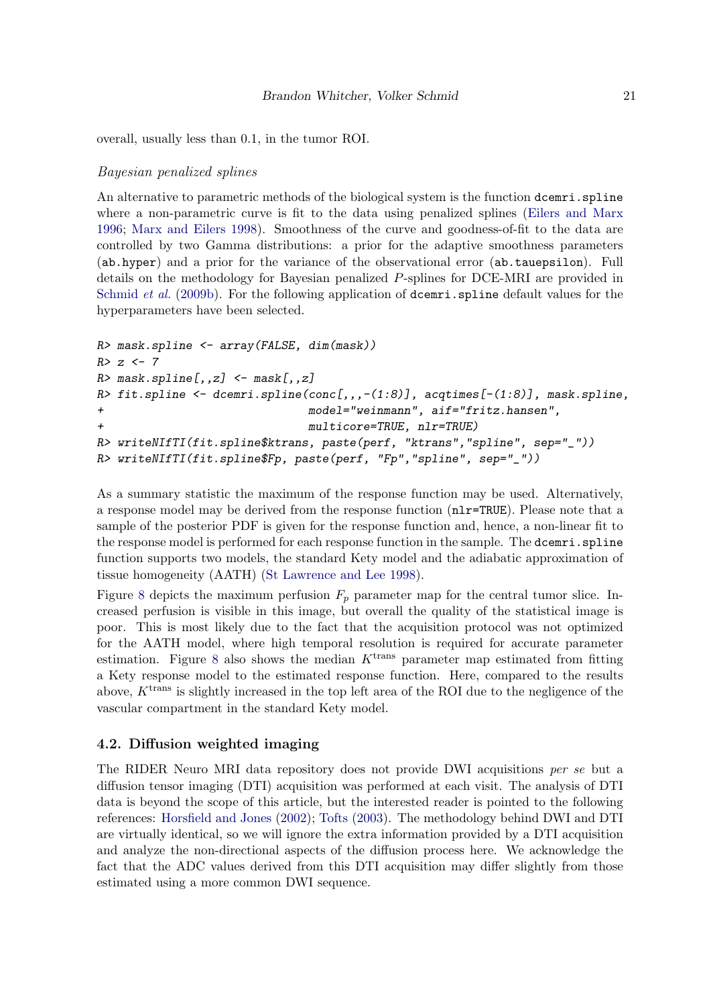overall, usually less than 0.1, in the tumor ROI.

### Bayesian penalized splines

An alternative to parametric methods of the biological system is the function dcemri.spline where a non-parametric curve is fit to the data using penalized splines (Eilers and Marx 1996; Marx and Eilers 1998). Smoothness of the curve and goodness-of-fit to the data are controlled by two Gamma distributions: a prior for the adaptive smoothness parameters (ab.hyper) and a prior for the variance of the observational error (ab.tauepsilon). Full details on the methodology for Bayesian penalized P-splines for DCE-MRI are provided in Schmid et al. (2009b). For the following application of dcemri.spline default values for the hyperparameters have been selected.

```
R> mask.spline <- array(FALSE, dim(mask))
R> z <- 7
R> mask.spline[,,z] <- mask[,,z]
R> fit.spline <- dcemri.spline(conc[,,,-(1:8)], acqtimes[-(1:8)], mask.spline,
+ model="weinmann", aif="fritz.hansen",
+ multicore=TRUE, nlr=TRUE)
R> writeNIfTI(fit.spline$ktrans, paste(perf, "ktrans","spline", sep="_"))
R> writeNIfTI(fit.spline$Fp, paste(perf, "Fp","spline", sep="_"))
```
As a summary statistic the maximum of the response function may be used. Alternatively, a response model may be derived from the response function (nlr=TRUE). Please note that a sample of the posterior PDF is given for the response function and, hence, a non-linear fit to the response model is performed for each response function in the sample. The dcemri.spline function supports two models, the standard Kety model and the adiabatic approximation of tissue homogeneity (AATH) (St Lawrence and Lee 1998).

Figure 8 depicts the maximum perfusion  $F_p$  parameter map for the central tumor slice. Increased perfusion is visible in this image, but overall the quality of the statistical image is poor. This is most likely due to the fact that the acquisition protocol was not optimized for the AATH model, where high temporal resolution is required for accurate parameter estimation. Figure 8 also shows the median  $K<sup>trans</sup>$  parameter map estimated from fitting a Kety response model to the estimated response function. Here, compared to the results above,  $K^{\text{trans}}$  is slightly increased in the top left area of the ROI due to the negligence of the vascular compartment in the standard Kety model.

### 4.2. Diffusion weighted imaging

The RIDER Neuro MRI data repository does not provide DWI acquisitions per se but a diffusion tensor imaging (DTI) acquisition was performed at each visit. The analysis of DTI data is beyond the scope of this article, but the interested reader is pointed to the following references: Horsfield and Jones (2002); Tofts (2003). The methodology behind DWI and DTI are virtually identical, so we will ignore the extra information provided by a DTI acquisition and analyze the non-directional aspects of the diffusion process here. We acknowledge the fact that the ADC values derived from this DTI acquisition may differ slightly from those estimated using a more common DWI sequence.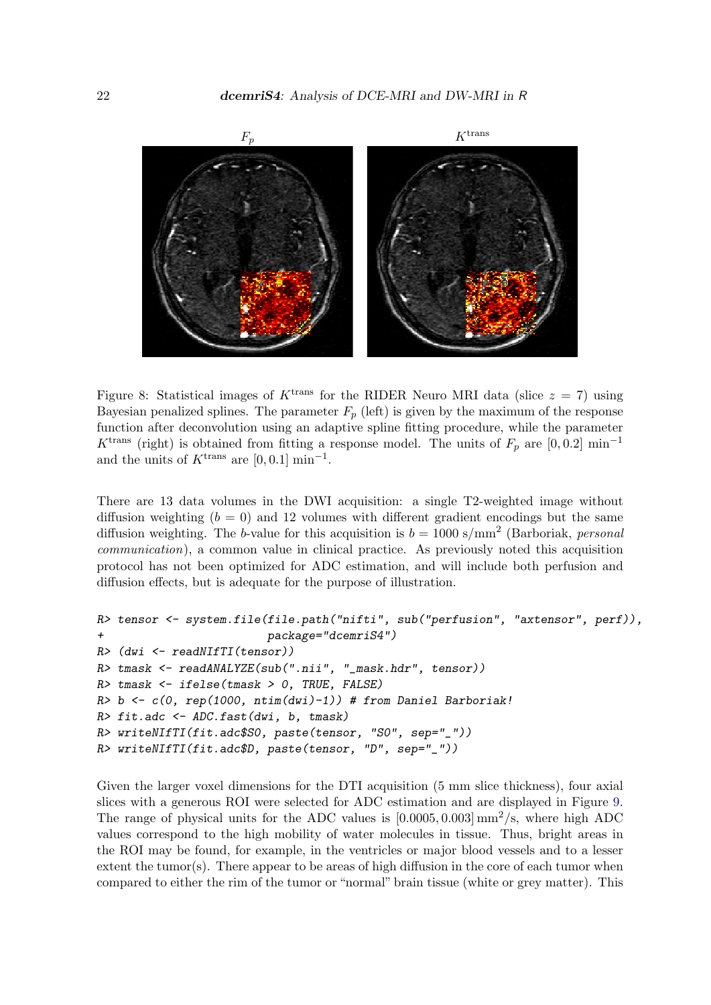

Figure 8: Statistical images of  $K^{\text{trans}}$  for the RIDER Neuro MRI data (slice  $z = 7$ ) using Bayesian penalized splines. The parameter  $F_p$  (left) is given by the maximum of the response function after deconvolution using an adaptive spline fitting procedure, while the parameter K<sup>trans</sup> (right) is obtained from fitting a response model. The units of  $F_p$  are [0,0.2] min<sup>-1</sup> and the units of  $K^{\text{trans}}$  are  $[0, 0.1]$  min<sup>-1</sup>.

There are 13 data volumes in the DWI acquisition: a single T2-weighted image without diffusion weighting  $(b = 0)$  and 12 volumes with different gradient encodings but the same diffusion weighting. The b-value for this acquisition is  $b = 1000 \text{ s/mm}^2$  (Barboriak, personal communication), a common value in clinical practice. As previously noted this acquisition protocol has not been optimized for ADC estimation, and will include both perfusion and diffusion effects, but is adequate for the purpose of illustration.

```
R> tensor <- system.file(file.path("nifti", sub("perfusion", "axtensor", perf)),
+ package="dcemriS4")
R> (dwi <- readNIfTI(tensor))
R> tmask <- readANALYZE(sub(".nii", "_mask.hdr", tensor))
R> tmask <- ifelse(tmask > 0, TRUE, FALSE)
R> b <- c(0, rep(1000, ntim(dwi)-1)) # from Daniel Barboriak!
R> fit.adc <- ADC.fast(dwi, b, tmask)
R> writeNIfTI(fit.adc$S0, paste(tensor, "S0", sep="_"))
R> writeNIfTI(fit.adc$D, paste(tensor, "D", sep="_"))
```
Given the larger voxel dimensions for the DTI acquisition (5 mm slice thickness), four axial slices with a generous ROI were selected for ADC estimation and are displayed in Figure 9. The range of physical units for the ADC values is  $[0.0005, 0.003] \text{ mm}^2/\text{s}$ , where high ADC values correspond to the high mobility of water molecules in tissue. Thus, bright areas in the ROI may be found, for example, in the ventricles or major blood vessels and to a lesser extent the tumor(s). There appear to be areas of high diffusion in the core of each tumor when compared to either the rim of the tumor or "normal" brain tissue (white or grey matter). This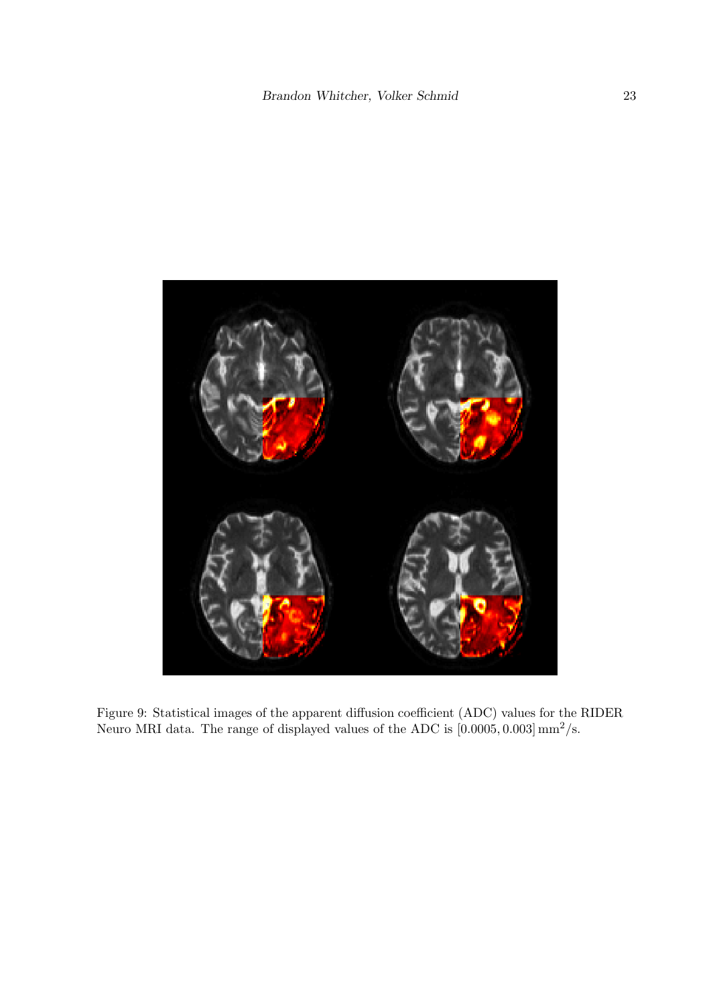

Figure 9: Statistical images of the apparent diffusion coefficient (ADC) values for the RIDER Neuro MRI data. The range of displayed values of the ADC is  $[0.0005, 0.003] \text{ mm}^2/\text{s}$ .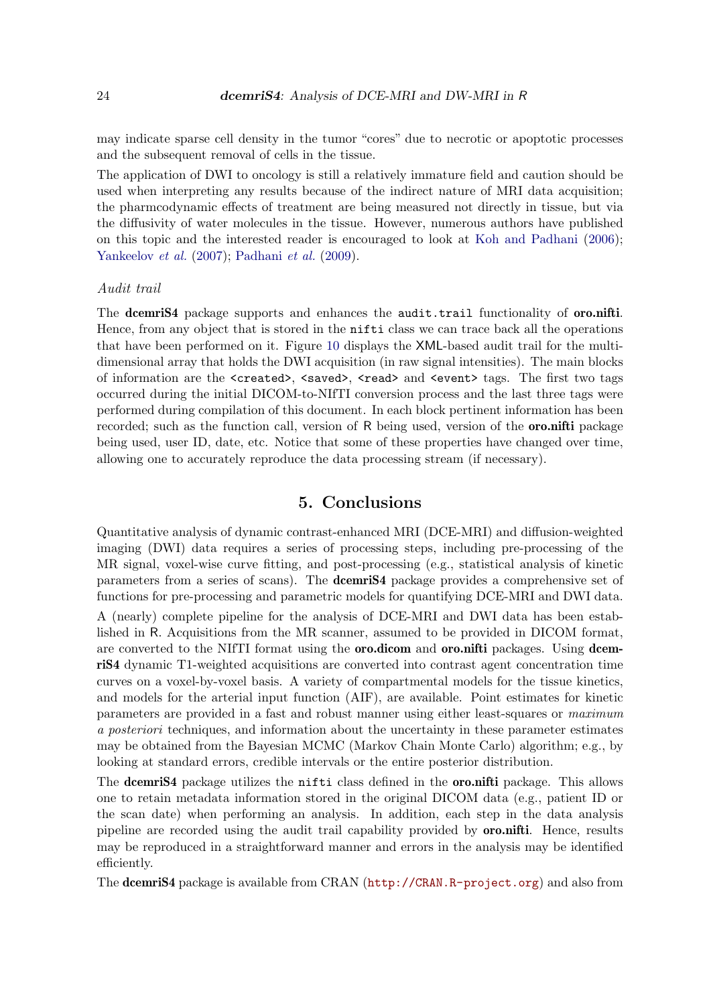may indicate sparse cell density in the tumor "cores" due to necrotic or apoptotic processes and the subsequent removal of cells in the tissue.

The application of DWI to oncology is still a relatively immature field and caution should be used when interpreting any results because of the indirect nature of MRI data acquisition; the pharmcodynamic effects of treatment are being measured not directly in tissue, but via the diffusivity of water molecules in the tissue. However, numerous authors have published on this topic and the interested reader is encouraged to look at Koh and Padhani (2006); Yankeelov et al. (2007); Padhani et al. (2009).

### Audit trail

The dcemris4 package supports and enhances the audit.trail functionality of **oro.nifti.** Hence, from any object that is stored in the nifti class we can trace back all the operations that have been performed on it. Figure 10 displays the XML-based audit trail for the multidimensional array that holds the DWI acquisition (in raw signal intensities). The main blocks of information are the <created>, <saved>, <read> and <event> tags. The first two tags occurred during the initial DICOM-to-NIfTI conversion process and the last three tags were performed during compilation of this document. In each block pertinent information has been recorded; such as the function call, version of R being used, version of the **oro.nifti** package being used, user ID, date, etc. Notice that some of these properties have changed over time, allowing one to accurately reproduce the data processing stream (if necessary).

# 5. Conclusions

Quantitative analysis of dynamic contrast-enhanced MRI (DCE-MRI) and diffusion-weighted imaging (DWI) data requires a series of processing steps, including pre-processing of the MR signal, voxel-wise curve fitting, and post-processing (e.g., statistical analysis of kinetic parameters from a series of scans). The dcemriS4 package provides a comprehensive set of functions for pre-processing and parametric models for quantifying DCE-MRI and DWI data.

A (nearly) complete pipeline for the analysis of DCE-MRI and DWI data has been established in R. Acquisitions from the MR scanner, assumed to be provided in DICOM format, are converted to the NIfTI format using the **oro.dicom** and **oro.nifti** packages. Using dcemriS4 dynamic T1-weighted acquisitions are converted into contrast agent concentration time curves on a voxel-by-voxel basis. A variety of compartmental models for the tissue kinetics, and models for the arterial input function (AIF), are available. Point estimates for kinetic parameters are provided in a fast and robust manner using either least-squares or maximum a posteriori techniques, and information about the uncertainty in these parameter estimates may be obtained from the Bayesian MCMC (Markov Chain Monte Carlo) algorithm; e.g., by looking at standard errors, credible intervals or the entire posterior distribution.

The **dcemriS4** package utilizes the nifti class defined in the **oro.nifti** package. This allows one to retain metadata information stored in the original DICOM data (e.g., patient ID or the scan date) when performing an analysis. In addition, each step in the data analysis pipeline are recorded using the audit trail capability provided by oro.nifti. Hence, results may be reproduced in a straightforward manner and errors in the analysis may be identified efficiently.

The dcemriS4 package is available from CRAN (http://CRAN.R-project.org) and also from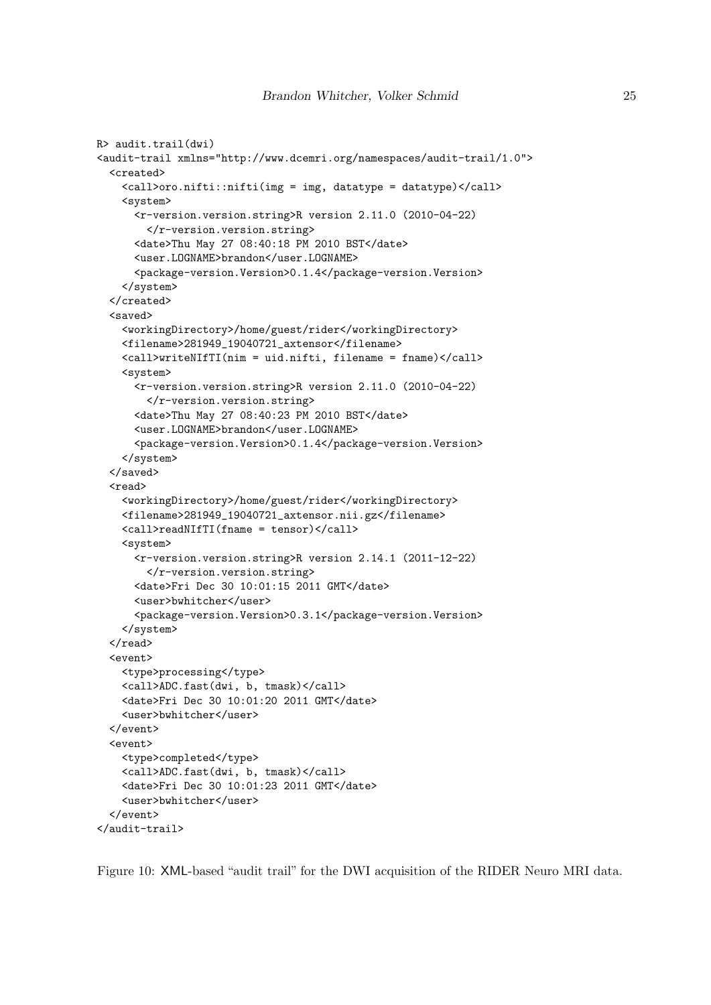```
R> audit.trail(dwi)
<audit-trail xmlns="http://www.dcemri.org/namespaces/audit-trail/1.0">
  <created>
    <call>oro.nifti::nifti(img = img, datatype = datatype)</call>
    <system>
      <r-version.version.string>R version 2.11.0 (2010-04-22)
        </r-version.version.string>
      <date>Thu May 27 08:40:18 PM 2010 BST</date>
      <user.LOGNAME>brandon</user.LOGNAME>
      <package-version.Version>0.1.4</package-version.Version>
    </system>
  </created>
  <saved>
    <workingDirectory>/home/guest/rider</workingDirectory>
    <filename>281949_19040721_axtensor</filename>
    <call>writeNIfTI(nim = uid.nifti, filename = fname)</call>
    <system>
      <r-version.version.string>R version 2.11.0 (2010-04-22)
        </r-version.version.string>
      <date>Thu May 27 08:40:23 PM 2010 BST</date>
      <user.LOGNAME>brandon</user.LOGNAME>
      <package-version.Version>0.1.4</package-version.Version>
    </system>
  </saved>
  <read>
    <workingDirectory>/home/guest/rider</workingDirectory>
    <filename>281949_19040721_axtensor.nii.gz</filename>
    <call>readNIfTI(fname = tensor)</call>
    <system>
      <r-version.version.string>R version 2.14.1 (2011-12-22)
        </r-version.version.string>
      <date>Fri Dec 30 10:01:15 2011 GMT</date>
      <user>bwhitcher</user>
      <package-version.Version>0.3.1</package-version.Version>
    </system>
  </read>
  <event>
    <type>processing</type>
    <call>ADC.fast(dwi, b, tmask)</call>
    <date>Fri Dec 30 10:01:20 2011 GMT</date>
    <user>bwhitcher</user>
  </event>
  <event>
    <type>completed</type>
    <call>ADC.fast(dwi, b, tmask)</call>
    <date>Fri Dec 30 10:01:23 2011 GMT</date>
    <user>bwhitcher</user>
  </event>
</audit-trail>
```
Figure 10: XML-based "audit trail" for the DWI acquisition of the RIDER Neuro MRI data.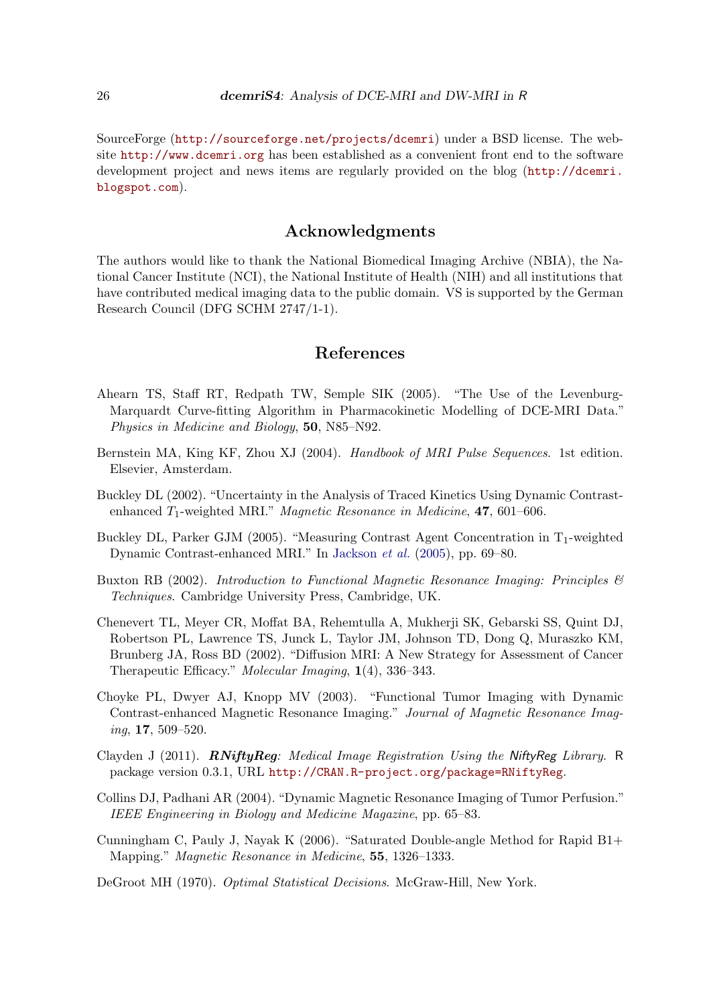SourceForge (http://sourceforge.net/projects/dcemri) under a BSD license. The website http://www.dcemri.org has been established as a convenient front end to the software development project and news items are regularly provided on the blog (http://dcemri. blogspot.com).

# Acknowledgments

The authors would like to thank the National Biomedical Imaging Archive (NBIA), the National Cancer Institute (NCI), the National Institute of Health (NIH) and all institutions that have contributed medical imaging data to the public domain. VS is supported by the German Research Council (DFG SCHM 2747/1-1).

## References

- Ahearn TS, Staff RT, Redpath TW, Semple SIK (2005). "The Use of the Levenburg-Marquardt Curve-fitting Algorithm in Pharmacokinetic Modelling of DCE-MRI Data." Physics in Medicine and Biology, 50, N85–N92.
- Bernstein MA, King KF, Zhou XJ (2004). Handbook of MRI Pulse Sequences. 1st edition. Elsevier, Amsterdam.
- Buckley DL (2002). "Uncertainty in the Analysis of Traced Kinetics Using Dynamic Contrastenhanced  $T_1$ -weighted MRI." *Magnetic Resonance in Medicine*, **47**, 601–606.
- Buckley DL, Parker GJM (2005). "Measuring Contrast Agent Concentration in  $T_1$ -weighted Dynamic Contrast-enhanced MRI." In Jackson et al. (2005), pp. 69–80.
- Buxton RB (2002). Introduction to Functional Magnetic Resonance Imaging: Principles & Techniques. Cambridge University Press, Cambridge, UK.
- Chenevert TL, Meyer CR, Moffat BA, Rehemtulla A, Mukherji SK, Gebarski SS, Quint DJ, Robertson PL, Lawrence TS, Junck L, Taylor JM, Johnson TD, Dong Q, Muraszko KM, Brunberg JA, Ross BD (2002). "Diffusion MRI: A New Strategy for Assessment of Cancer Therapeutic Efficacy." Molecular Imaging, 1(4), 336–343.
- Choyke PL, Dwyer AJ, Knopp MV (2003). "Functional Tumor Imaging with Dynamic Contrast-enhanced Magnetic Resonance Imaging." Journal of Magnetic Resonance Imaging, 17, 509–520.
- Clayden J (2011).  $RNityReg$ : Medical Image Registration Using the NiftyReg Library. R package version 0.3.1, URL http://CRAN.R-project.org/package=RNiftyReg.
- Collins DJ, Padhani AR (2004). "Dynamic Magnetic Resonance Imaging of Tumor Perfusion." IEEE Engineering in Biology and Medicine Magazine, pp. 65–83.
- Cunningham C, Pauly J, Nayak K (2006). "Saturated Double-angle Method for Rapid B1+ Mapping." Magnetic Resonance in Medicine, 55, 1326–1333.
- DeGroot MH (1970). Optimal Statistical Decisions. McGraw-Hill, New York.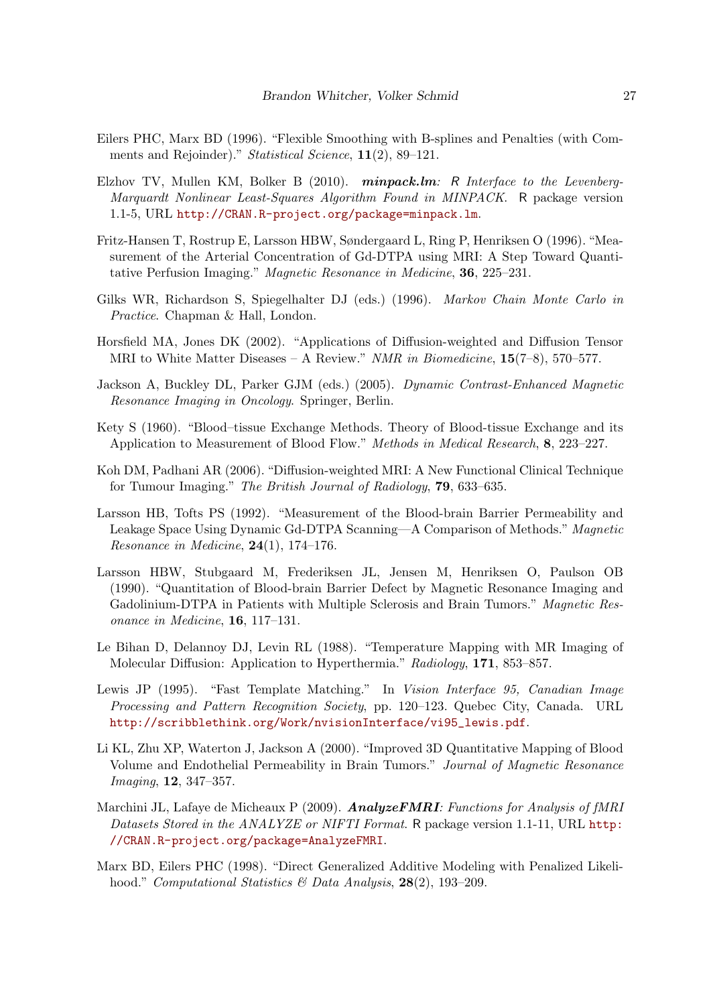- Eilers PHC, Marx BD (1996). "Flexible Smoothing with B-splines and Penalties (with Comments and Rejoinder)." Statistical Science, 11(2), 89–121.
- Elzhov TV, Mullen KM, Bolker B  $(2010)$ . minpack.lm: R Interface to the Levenberg-Marquardt Nonlinear Least-Squares Algorithm Found in MINPACK. R package version 1.1-5, URL http://CRAN.R-project.org/package=minpack.lm.
- Fritz-Hansen T, Rostrup E, Larsson HBW, Søndergaard L, Ring P, Henriksen O (1996). "Measurement of the Arterial Concentration of Gd-DTPA using MRI: A Step Toward Quantitative Perfusion Imaging." Magnetic Resonance in Medicine, 36, 225–231.
- Gilks WR, Richardson S, Spiegelhalter DJ (eds.) (1996). Markov Chain Monte Carlo in Practice. Chapman & Hall, London.
- Horsfield MA, Jones DK (2002). "Applications of Diffusion-weighted and Diffusion Tensor MRI to White Matter Diseases – A Review." NMR in Biomedicine,  $15(7-8)$ , 570–577.
- Jackson A, Buckley DL, Parker GJM (eds.) (2005). Dynamic Contrast-Enhanced Magnetic Resonance Imaging in Oncology. Springer, Berlin.
- Kety S (1960). "Blood–tissue Exchange Methods. Theory of Blood-tissue Exchange and its Application to Measurement of Blood Flow." Methods in Medical Research, 8, 223–227.
- Koh DM, Padhani AR (2006). "Diffusion-weighted MRI: A New Functional Clinical Technique for Tumour Imaging." The British Journal of Radiology, 79, 633–635.
- Larsson HB, Tofts PS (1992). "Measurement of the Blood-brain Barrier Permeability and Leakage Space Using Dynamic Gd-DTPA Scanning—A Comparison of Methods." Magnetic Resonance in Medicine,  $24(1)$ , 174–176.
- Larsson HBW, Stubgaard M, Frederiksen JL, Jensen M, Henriksen O, Paulson OB (1990). "Quantitation of Blood-brain Barrier Defect by Magnetic Resonance Imaging and Gadolinium-DTPA in Patients with Multiple Sclerosis and Brain Tumors." Magnetic Resonance in Medicine, 16, 117–131.
- Le Bihan D, Delannoy DJ, Levin RL (1988). "Temperature Mapping with MR Imaging of Molecular Diffusion: Application to Hyperthermia." Radiology, 171, 853–857.
- Lewis JP (1995). "Fast Template Matching." In Vision Interface 95, Canadian Image Processing and Pattern Recognition Society, pp. 120–123. Quebec City, Canada. URL http://scribblethink.org/Work/nvisionInterface/vi95\_lewis.pdf.
- Li KL, Zhu XP, Waterton J, Jackson A (2000). "Improved 3D Quantitative Mapping of Blood Volume and Endothelial Permeability in Brain Tumors." Journal of Magnetic Resonance Imaging, 12, 347–357.
- Marchini JL, Lafaye de Micheaux P (2009). **AnalyzeFMRI**: Functions for Analysis of fMRI Datasets Stored in the ANALYZE or NIFTI Format. R package version 1.1-11, URL http: //CRAN.R-project.org/package=AnalyzeFMRI.
- Marx BD, Eilers PHC (1998). "Direct Generalized Additive Modeling with Penalized Likelihood." Computational Statistics & Data Analysis,  $28(2)$ , 193-209.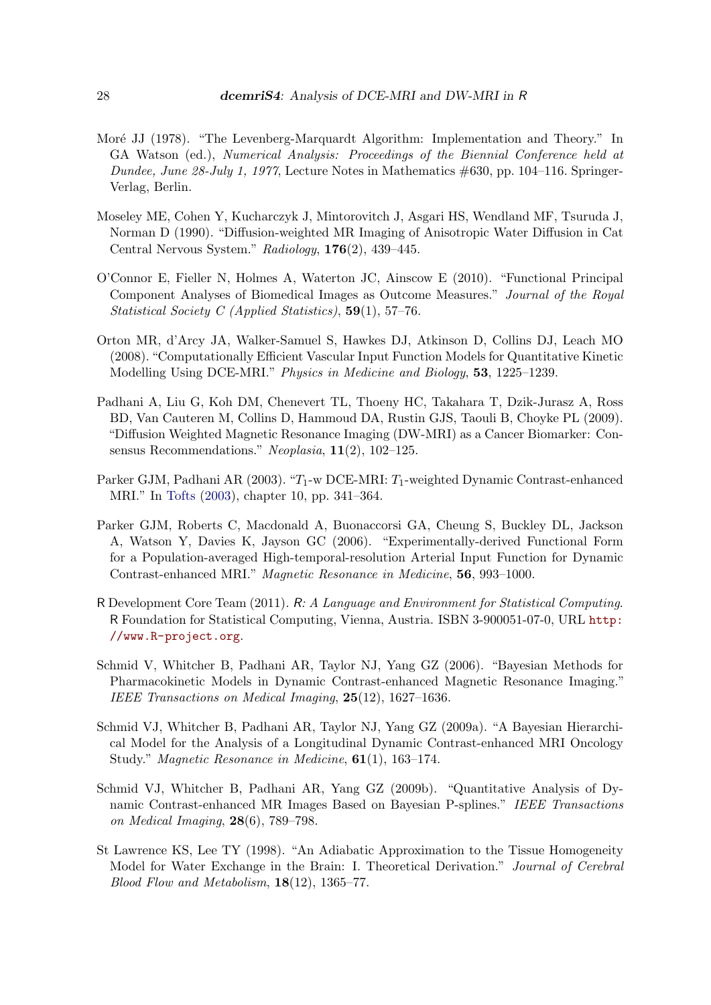- Moré JJ (1978). "The Levenberg-Marquardt Algorithm: Implementation and Theory." In GA Watson (ed.), Numerical Analysis: Proceedings of the Biennial Conference held at Dundee, June 28-July 1, 1977, Lecture Notes in Mathematics  $\#630$ , pp. 104-116. Springer-Verlag, Berlin.
- Moseley ME, Cohen Y, Kucharczyk J, Mintorovitch J, Asgari HS, Wendland MF, Tsuruda J, Norman D (1990). "Diffusion-weighted MR Imaging of Anisotropic Water Diffusion in Cat Central Nervous System." Radiology, 176(2), 439–445.
- O'Connor E, Fieller N, Holmes A, Waterton JC, Ainscow E (2010). "Functional Principal Component Analyses of Biomedical Images as Outcome Measures." Journal of the Royal Statistical Society C (Applied Statistics), 59(1), 57–76.
- Orton MR, d'Arcy JA, Walker-Samuel S, Hawkes DJ, Atkinson D, Collins DJ, Leach MO (2008). "Computationally Efficient Vascular Input Function Models for Quantitative Kinetic Modelling Using DCE-MRI." Physics in Medicine and Biology, 53, 1225–1239.
- Padhani A, Liu G, Koh DM, Chenevert TL, Thoeny HC, Takahara T, Dzik-Jurasz A, Ross BD, Van Cauteren M, Collins D, Hammoud DA, Rustin GJS, Taouli B, Choyke PL (2009). "Diffusion Weighted Magnetic Resonance Imaging (DW-MRI) as a Cancer Biomarker: Consensus Recommendations." Neoplasia, 11(2), 102–125.
- Parker GJM, Padhani AR (2003). " $T_1$ -w DCE-MRI:  $T_1$ -weighted Dynamic Contrast-enhanced MRI." In Tofts (2003), chapter 10, pp. 341–364.
- Parker GJM, Roberts C, Macdonald A, Buonaccorsi GA, Cheung S, Buckley DL, Jackson A, Watson Y, Davies K, Jayson GC (2006). "Experimentally-derived Functional Form for a Population-averaged High-temporal-resolution Arterial Input Function for Dynamic Contrast-enhanced MRI." Magnetic Resonance in Medicine, 56, 993–1000.
- R Development Core Team (2011). R: A Language and Environment for Statistical Computing. R Foundation for Statistical Computing, Vienna, Austria. ISBN 3-900051-07-0, URL http: //www.R-project.org.
- Schmid V, Whitcher B, Padhani AR, Taylor NJ, Yang GZ (2006). "Bayesian Methods for Pharmacokinetic Models in Dynamic Contrast-enhanced Magnetic Resonance Imaging." IEEE Transactions on Medical Imaging, 25(12), 1627–1636.
- Schmid VJ, Whitcher B, Padhani AR, Taylor NJ, Yang GZ (2009a). "A Bayesian Hierarchical Model for the Analysis of a Longitudinal Dynamic Contrast-enhanced MRI Oncology Study." Magnetic Resonance in Medicine, 61(1), 163–174.
- Schmid VJ, Whitcher B, Padhani AR, Yang GZ (2009b). "Quantitative Analysis of Dynamic Contrast-enhanced MR Images Based on Bayesian P-splines." IEEE Transactions on Medical Imaging, 28(6), 789–798.
- St Lawrence KS, Lee TY (1998). "An Adiabatic Approximation to the Tissue Homogeneity Model for Water Exchange in the Brain: I. Theoretical Derivation." Journal of Cerebral Blood Flow and Metabolism, 18(12), 1365–77.